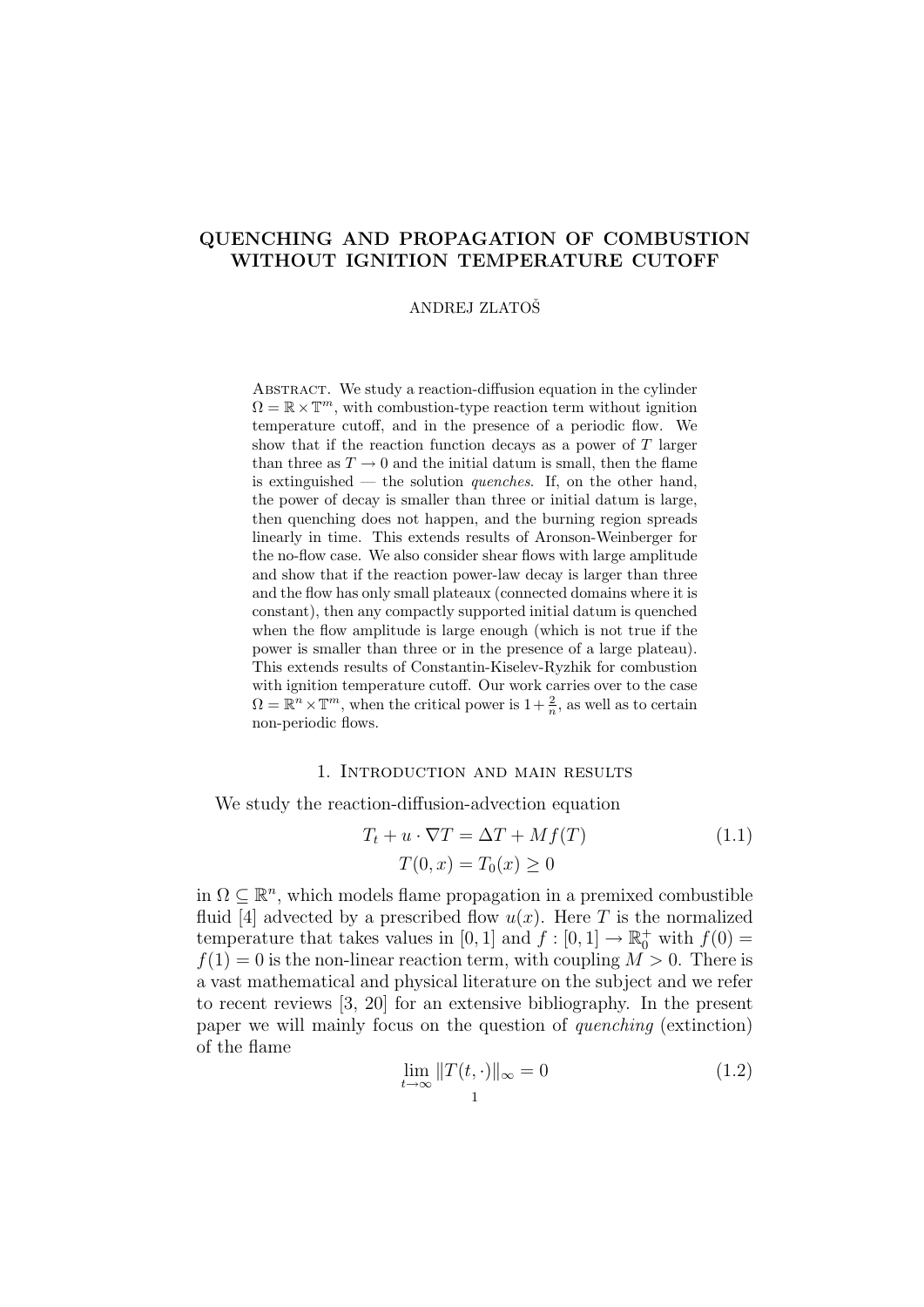# QUENCHING AND PROPAGATION OF COMBUSTION WITHOUT IGNITION TEMPERATURE CUTOFF

#### ANDREJ ZLATOSˇ

ABSTRACT. We study a reaction-diffusion equation in the cylinder  $\Omega = \mathbb{R} \times \mathbb{T}^m$ , with combustion-type reaction term without ignition temperature cutoff, and in the presence of a periodic flow. We show that if the reaction function decays as a power of  $T$  larger than three as  $T \to 0$  and the initial datum is small, then the flame is extinguished — the solution *quenches*. If, on the other hand, the power of decay is smaller than three or initial datum is large, then quenching does not happen, and the burning region spreads linearly in time. This extends results of Aronson-Weinberger for the no-flow case. We also consider shear flows with large amplitude and show that if the reaction power-law decay is larger than three and the flow has only small plateaux (connected domains where it is constant), then any compactly supported initial datum is quenched when the flow amplitude is large enough (which is not true if the power is smaller than three or in the presence of a large plateau). This extends results of Constantin-Kiselev-Ryzhik for combustion with ignition temperature cutoff. Our work carries over to the case  $\Omega = \mathbb{R}^n \times \mathbb{T}^m$ , when the critical power is  $1 + \frac{2}{n}$ , as well as to certain non-periodic flows.

# 1. Introduction and main results

We study the reaction-diffusion-advection equation

$$
T_t + u \cdot \nabla T = \Delta T + Mf(T)
$$
  
\n
$$
T(0, x) = T_0(x) \ge 0
$$
\n(1.1)

in  $\Omega \subseteq \mathbb{R}^n$ , which models flame propagation in a premixed combustible fluid [4] advected by a prescribed flow  $u(x)$ . Here T is the normalized temperature that takes values in [0, 1] and  $f : [0, 1] \to \mathbb{R}^+_0$  with  $f(0) =$  $f(1) = 0$  is the non-linear reaction term, with coupling  $M > 0$ . There is a vast mathematical and physical literature on the subject and we refer to recent reviews [3, 20] for an extensive bibliography. In the present paper we will mainly focus on the question of quenching (extinction) of the flame

$$
\lim_{t \to \infty} ||T(t, \cdot)||_{\infty} = 0 \tag{1.2}
$$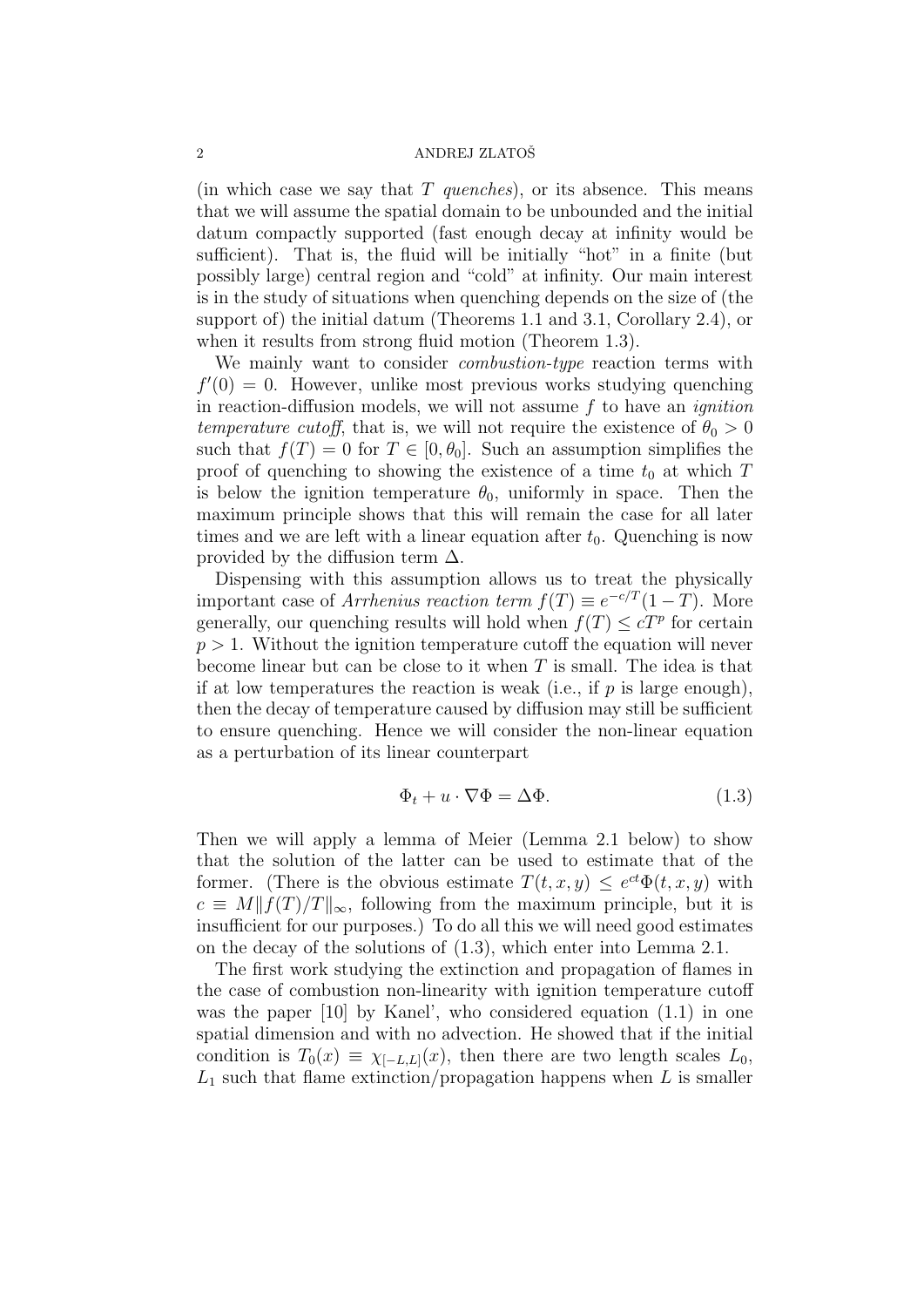(in which case we say that  $T$  quenches), or its absence. This means that we will assume the spatial domain to be unbounded and the initial datum compactly supported (fast enough decay at infinity would be sufficient). That is, the fluid will be initially "hot" in a finite (but possibly large) central region and "cold" at infinity. Our main interest is in the study of situations when quenching depends on the size of (the support of) the initial datum (Theorems 1.1 and 3.1, Corollary 2.4), or when it results from strong fluid motion (Theorem 1.3).

We mainly want to consider *combustion-type* reaction terms with  $f'(0) = 0$ . However, unlike most previous works studying quenching in reaction-diffusion models, we will not assume  $f$  to have an *ignition* temperature cutoff, that is, we will not require the existence of  $\theta_0 > 0$ such that  $f(T) = 0$  for  $T \in [0, \theta_0]$ . Such an assumption simplifies the proof of quenching to showing the existence of a time  $t_0$  at which T is below the ignition temperature  $\theta_0$ , uniformly in space. Then the maximum principle shows that this will remain the case for all later times and we are left with a linear equation after  $t_0$ . Quenching is now provided by the diffusion term  $\Delta$ .

Dispensing with this assumption allows us to treat the physically important case of *Arrhenius reaction term*  $f(T) \equiv e^{-c/T}(1-T)$ . More generally, our quenching results will hold when  $f(T) \leq cT^p$  for certain  $p > 1$ . Without the ignition temperature cutoff the equation will never become linear but can be close to it when  $T$  is small. The idea is that if at low temperatures the reaction is weak (i.e., if  $p$  is large enough), then the decay of temperature caused by diffusion may still be sufficient to ensure quenching. Hence we will consider the non-linear equation as a perturbation of its linear counterpart

$$
\Phi_t + u \cdot \nabla \Phi = \Delta \Phi. \tag{1.3}
$$

Then we will apply a lemma of Meier (Lemma 2.1 below) to show that the solution of the latter can be used to estimate that of the former. (There is the obvious estimate  $T(t, x, y) \leq e^{ct} \Phi(t, x, y)$  with  $c \equiv M||f(T)/T||_{\infty}$ , following from the maximum principle, but it is insufficient for our purposes.) To do all this we will need good estimates on the decay of the solutions of (1.3), which enter into Lemma 2.1.

The first work studying the extinction and propagation of flames in the case of combustion non-linearity with ignition temperature cutoff was the paper [10] by Kanel', who considered equation (1.1) in one spatial dimension and with no advection. He showed that if the initial condition is  $T_0(x) \equiv \chi_{[-L,L]}(x)$ , then there are two length scales  $L_0$ ,  $L_1$  such that flame extinction/propagation happens when L is smaller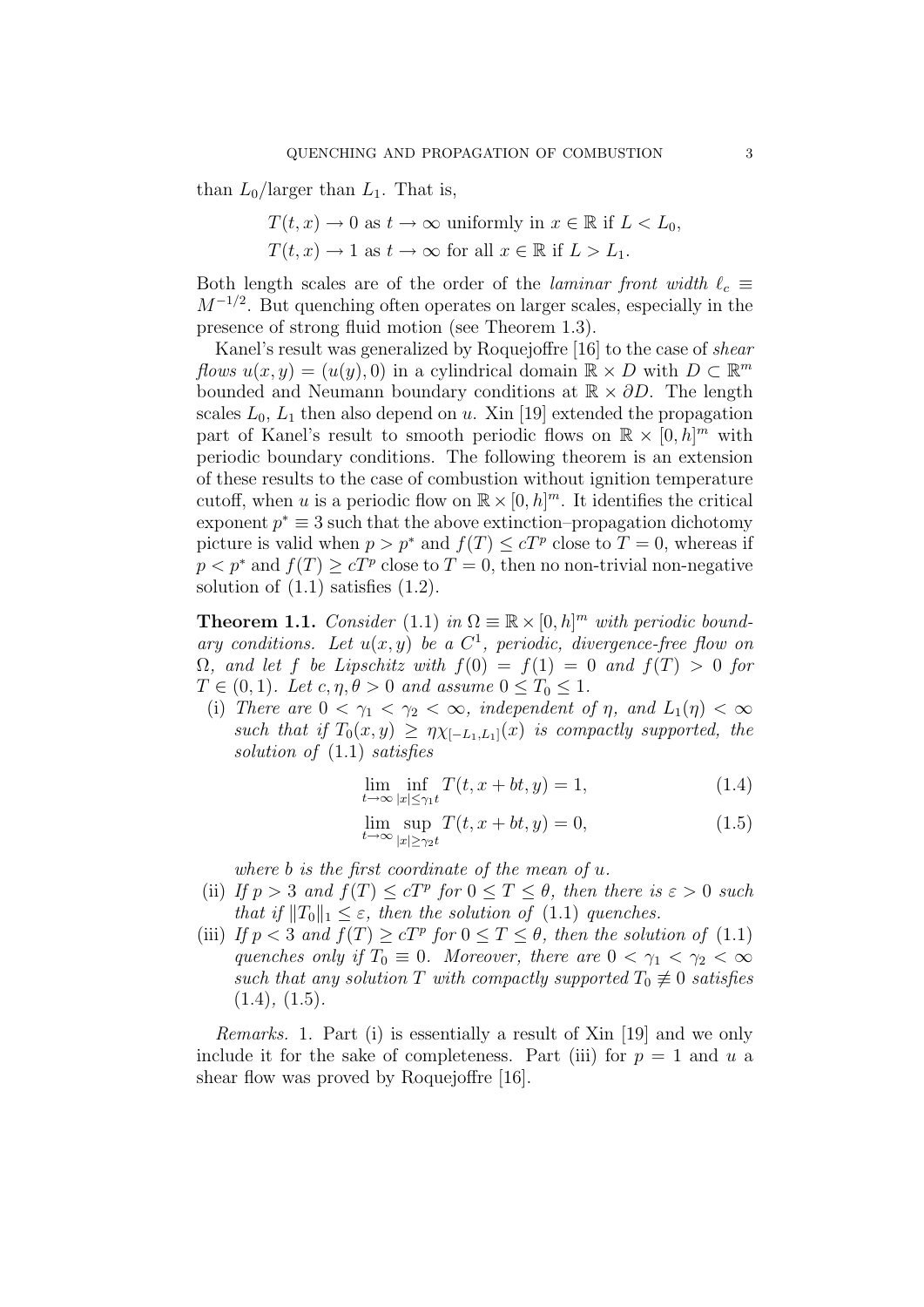than  $L_0$ /larger than  $L_1$ . That is,

 $T(t, x) \to 0$  as  $t \to \infty$  uniformly in  $x \in \mathbb{R}$  if  $L < L_0$ ,  $T(t, x) \to 1$  as  $t \to \infty$  for all  $x \in \mathbb{R}$  if  $L > L_1$ .

Both length scales are of the order of the *laminar front width*  $\ell_c \equiv$  $M^{-1/2}$ . But quenching often operates on larger scales, especially in the presence of strong fluid motion (see Theorem 1.3).

Kanel's result was generalized by Roquejoffre [16] to the case of shear flows  $u(x, y) = (u(y), 0)$  in a cylindrical domain  $\mathbb{R} \times D$  with  $D \subset \mathbb{R}^m$ bounded and Neumann boundary conditions at  $\mathbb{R} \times \partial D$ . The length scales  $L_0$ ,  $L_1$  then also depend on u. Xin [19] extended the propagation part of Kanel's result to smooth periodic flows on  $\mathbb{R} \times [0,h]^m$  with periodic boundary conditions. The following theorem is an extension of these results to the case of combustion without ignition temperature cutoff, when u is a periodic flow on  $\mathbb{R} \times [0, h]^m$ . It identifies the critical exponent  $p^* \equiv 3$  such that the above extinction–propagation dichotomy picture is valid when  $p > p^*$  and  $f(T) \leq cT^p$  close to  $T = 0$ , whereas if  $p < p^*$  and  $f(T) \ge cT^p$  close to  $T = 0$ , then no non-trivial non-negative solution of  $(1.1)$  satisfies  $(1.2)$ .

**Theorem 1.1.** Consider (1.1) in  $\Omega \equiv \mathbb{R} \times [0, h]^m$  with periodic boundary conditions. Let  $u(x, y)$  be a  $C^1$ , periodic, divergence-free flow on  $\Omega$ , and let f be Lipschitz with  $f(0) = f(1) = 0$  and  $f(T) > 0$  for  $T \in (0, 1)$ . Let  $c, \eta, \theta > 0$  and assume  $0 \leq T_0 \leq 1$ .

(i) There are  $0 < \gamma_1 < \gamma_2 < \infty$ , independent of  $\eta$ , and  $L_1(\eta) < \infty$ such that if  $T_0(x, y) \geq \eta \chi_{[-L_1, L_1]}(x)$  is compactly supported, the solution of (1.1) satisfies

$$
\lim_{t \to \infty} \inf_{|x| \le \gamma_1 t} T(t, x + bt, y) = 1,\tag{1.4}
$$

$$
\lim_{t \to \infty} \sup_{|x| \ge \gamma_2 t} T(t, x + bt, y) = 0,\tag{1.5}
$$

where b is the first coordinate of the mean of u.

- (ii) If  $p > 3$  and  $f(T) \le cT^p$  for  $0 \le T \le \theta$ , then there is  $\varepsilon > 0$  such that if  $||T_0||_1 \leq \varepsilon$ , then the solution of (1.1) quenches.
- (iii) If  $p < 3$  and  $f(T) \ge cT^p$  for  $0 \le T \le \theta$ , then the solution of (1.1) quenches only if  $T_0 \equiv 0$ . Moreover, there are  $0 < \gamma_1 < \gamma_2 < \infty$ such that any solution T with compactly supported  $T_0 \neq 0$  satisfies  $(1.4), (1.5).$

Remarks. 1. Part (i) is essentially a result of Xin [19] and we only include it for the sake of completeness. Part (iii) for  $p = 1$  and u a shear flow was proved by Roquejoffre [16].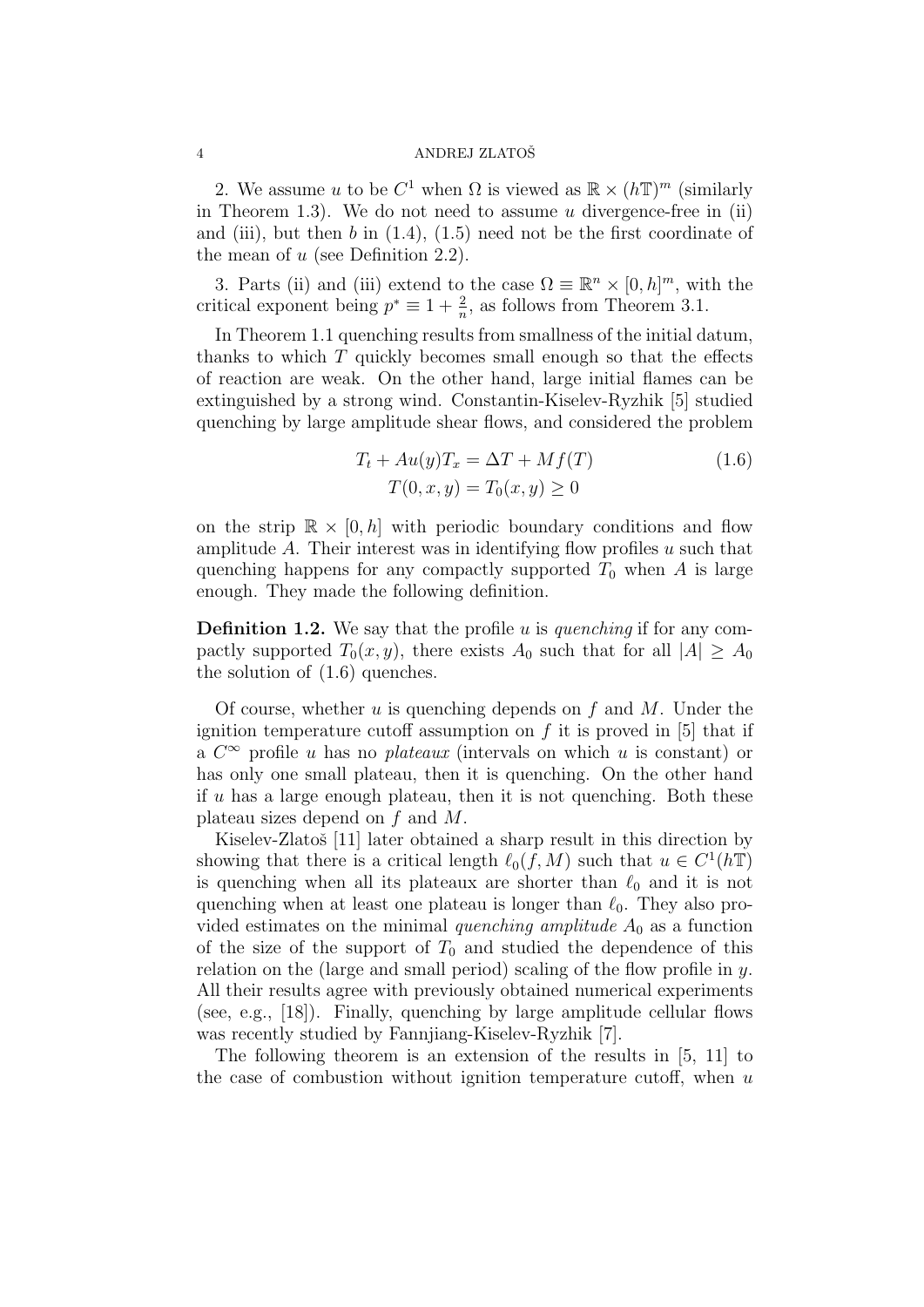2. We assume u to be  $C^1$  when  $\Omega$  is viewed as  $\mathbb{R} \times (h\mathbb{T})^m$  (similarly in Theorem 1.3). We do not need to assume  $u$  divergence-free in (ii) and (iii), but then  $b$  in  $(1.4)$ ,  $(1.5)$  need not be the first coordinate of the mean of  $u$  (see Definition 2.2).

3. Parts (ii) and (iii) extend to the case  $\Omega \equiv \mathbb{R}^n \times [0, h]^m$ , with the critical exponent being  $p^* \equiv 1 + \frac{2}{n}$ , as follows from Theorem 3.1.

In Theorem 1.1 quenching results from smallness of the initial datum, thanks to which  $T$  quickly becomes small enough so that the effects of reaction are weak. On the other hand, large initial flames can be extinguished by a strong wind. Constantin-Kiselev-Ryzhik [5] studied quenching by large amplitude shear flows, and considered the problem

$$
T_t + Au(y)T_x = \Delta T + Mf(T)
$$
  
\n
$$
T(0, x, y) = T_0(x, y) \ge 0
$$
\n(1.6)

on the strip  $\mathbb{R} \times [0, h]$  with periodic boundary conditions and flow amplitude  $A$ . Their interest was in identifying flow profiles  $u$  such that quenching happens for any compactly supported  $T_0$  when A is large enough. They made the following definition.

**Definition 1.2.** We say that the profile u is quenching if for any compactly supported  $T_0(x, y)$ , there exists  $A_0$  such that for all  $|A| \geq A_0$ the solution of (1.6) quenches.

Of course, whether  $u$  is quenching depends on  $f$  and  $M$ . Under the ignition temperature cutoff assumption on  $f$  it is proved in [5] that if a  $C^{\infty}$  profile u has no *plateaux* (intervals on which u is constant) or has only one small plateau, then it is quenching. On the other hand if  $u$  has a large enough plateau, then it is not quenching. Both these plateau sizes depend on f and M.

Kiselev-Zlatoš [11] later obtained a sharp result in this direction by showing that there is a critical length  $\ell_0(f, M)$  such that  $u \in C^1(h\mathbb{T})$ is quenching when all its plateaux are shorter than  $\ell_0$  and it is not quenching when at least one plateau is longer than  $\ell_0$ . They also provided estimates on the minimal quenching amplitude  $A_0$  as a function of the size of the support of  $T_0$  and studied the dependence of this relation on the (large and small period) scaling of the flow profile in  $y$ . All their results agree with previously obtained numerical experiments (see, e.g., [18]). Finally, quenching by large amplitude cellular flows was recently studied by Fannjiang-Kiselev-Ryzhik [7].

The following theorem is an extension of the results in [5, 11] to the case of combustion without ignition temperature cutoff, when  $u$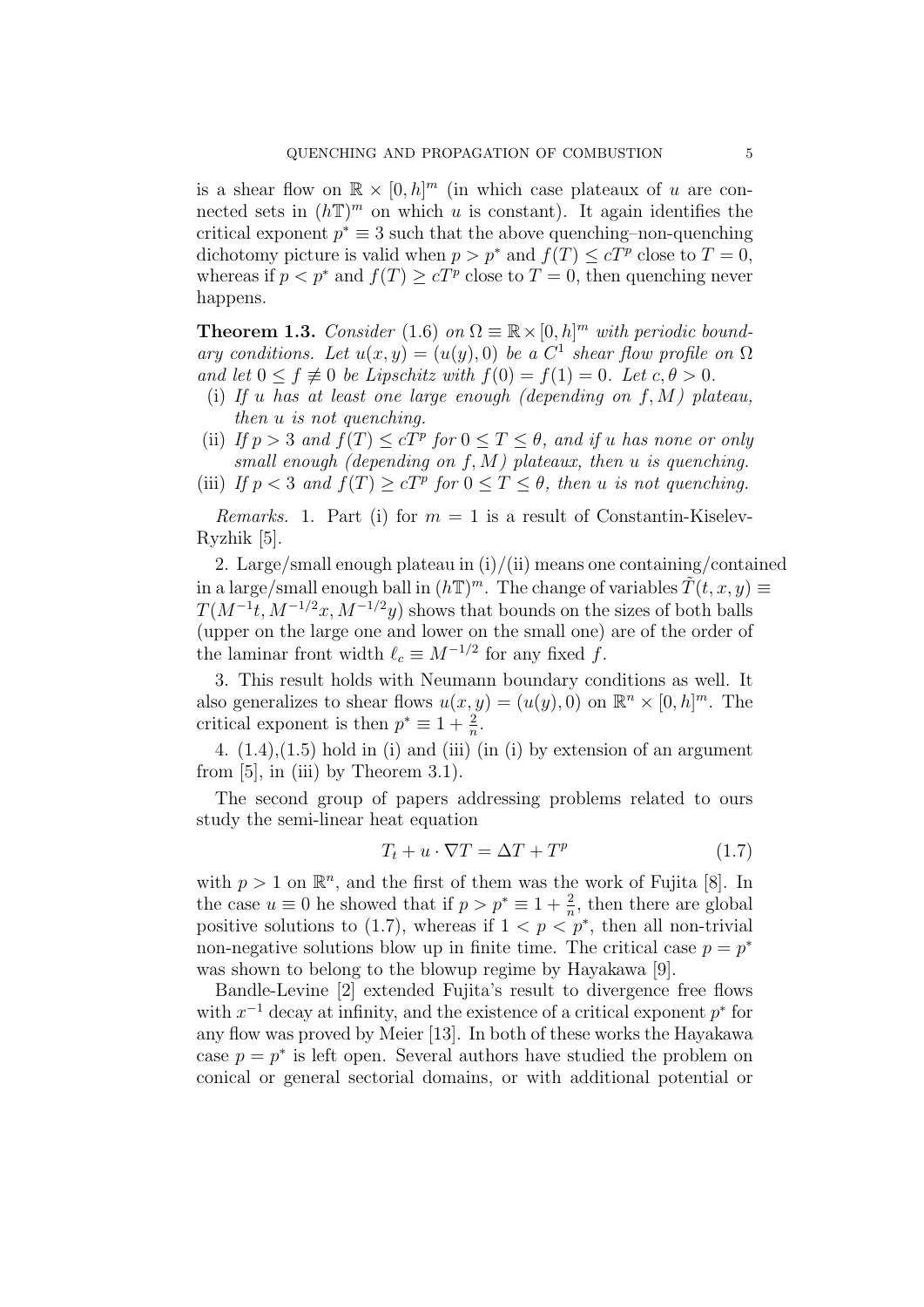is a shear flow on  $\mathbb{R} \times [0,h]^m$  (in which case plateaux of u are connected sets in  $(h\mathbb{T})^m$  on which u is constant). It again identifies the critical exponent  $p^* \equiv 3$  such that the above quenching–non-quenching dichotomy picture is valid when  $p > p^*$  and  $f(T) \leq cT^p$  close to  $T = 0$ , whereas if  $p < p^*$  and  $f(T) \ge cT^p$  close to  $T = 0$ , then quenching never happens.

**Theorem 1.3.** Consider (1.6) on  $\Omega \equiv \mathbb{R} \times [0, h]^m$  with periodic boundary conditions. Let  $u(x, y) = (u(y), 0)$  be a  $C<sup>1</sup>$  shear flow profile on  $\Omega$ and let  $0 \le f \neq 0$  be Lipschitz with  $f(0) = f(1) = 0$ . Let  $c, \theta > 0$ .

- (i) If u has at least one large enough (depending on  $f, M$ ) plateau, then u is not quenching.
- (ii) If  $p > 3$  and  $f(T) \le cT^p$  for  $0 \le T \le \theta$ , and if u has none or only small enough (depending on  $f, M$ ) plateaux, then u is quenching.
- (iii) If  $p < 3$  and  $f(T) \ge cT^p$  for  $0 \le T \le \theta$ , then u is not quenching.

*Remarks.* 1. Part (i) for  $m = 1$  is a result of Constantin-Kiselev-Ryzhik [5].

2. Large/small enough plateau in  $(i)/(ii)$  means one containing/contained in a large/small enough ball in  $(h\mathbb{T})^m$ . The change of variables  $\tilde{T}(t, x, y) \equiv$  $T(M^{-1}t, M^{-1/2}x, M^{-1/2}y)$  shows that bounds on the sizes of both balls (upper on the large one and lower on the small one) are of the order of the laminar front width  $\ell_c \equiv M^{-1/2}$  for any fixed f.

3. This result holds with Neumann boundary conditions as well. It also generalizes to shear flows  $u(x, y) = (u(y), 0)$  on  $\mathbb{R}^n \times [0, h]^m$ . The critical exponent is then  $p^* \equiv 1 + \frac{2}{n}$ .

4.  $(1.4)$ , $(1.5)$  hold in (i) and (iii) (in (i) by extension of an argument from  $[5]$ , in (iii) by Theorem 3.1).

The second group of papers addressing problems related to ours study the semi-linear heat equation

$$
T_t + u \cdot \nabla T = \Delta T + T^p \tag{1.7}
$$

with  $p > 1$  on  $\mathbb{R}^n$ , and the first of them was the work of Fujita [8]. In the case  $u \equiv 0$  he showed that if  $p > p^* \equiv 1 + \frac{2}{n}$ , then there are global positive solutions to (1.7), whereas if  $1 < p < p^*$ , then all non-trivial non-negative solutions blow up in finite time. The critical case  $p = p^*$ was shown to belong to the blowup regime by Hayakawa [9].

Bandle-Levine [2] extended Fujita's result to divergence free flows with  $x^{-1}$  decay at infinity, and the existence of a critical exponent  $p^*$  for any flow was proved by Meier [13]. In both of these works the Hayakawa case  $p = p^*$  is left open. Several authors have studied the problem on conical or general sectorial domains, or with additional potential or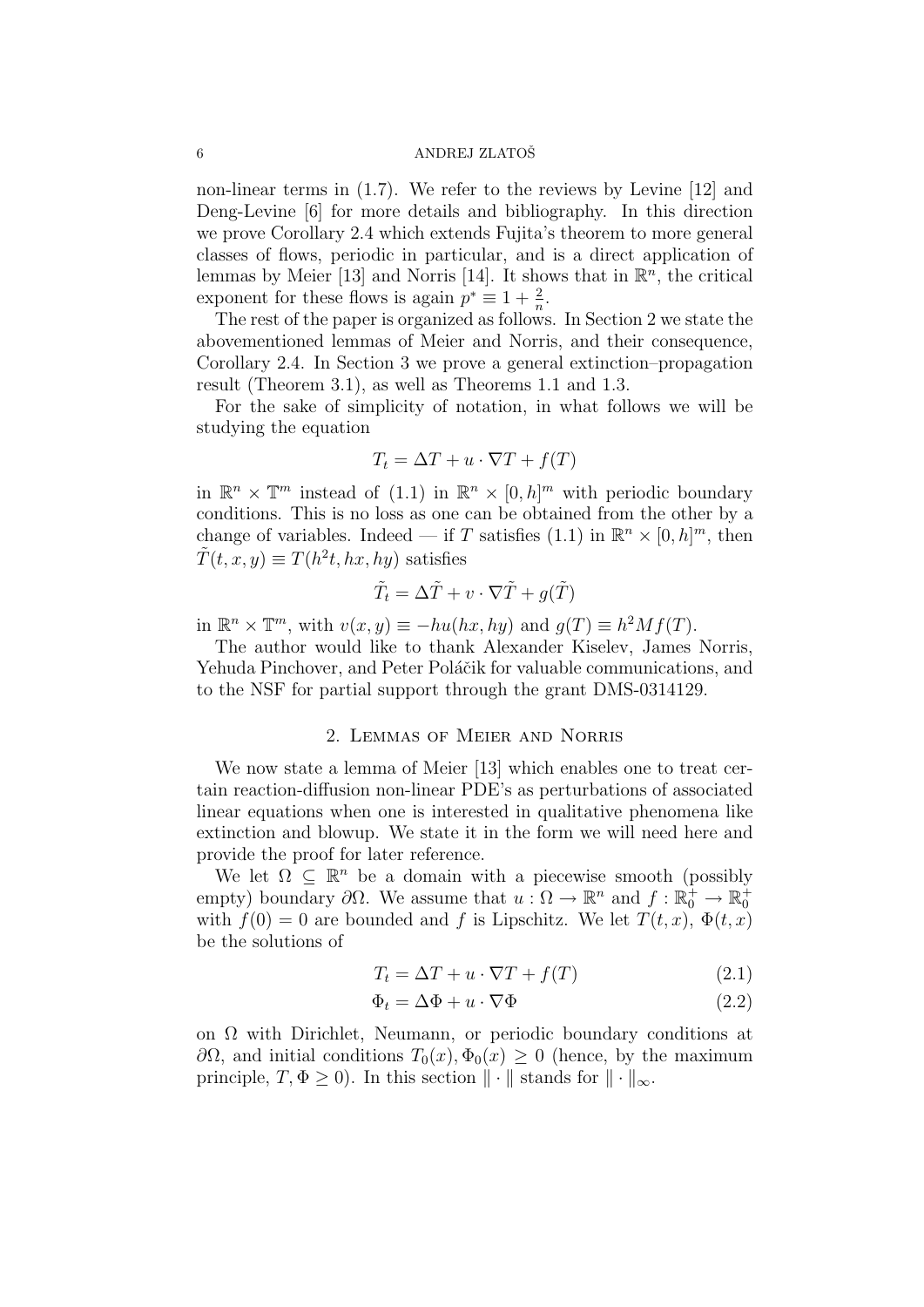non-linear terms in (1.7). We refer to the reviews by Levine [12] and Deng-Levine [6] for more details and bibliography. In this direction we prove Corollary 2.4 which extends Fujita's theorem to more general classes of flows, periodic in particular, and is a direct application of lemmas by Meier [13] and Norris [14]. It shows that in  $\mathbb{R}^n$ , the critical exponent for these flows is again  $p^* \equiv 1 + \frac{2}{n}$ .

The rest of the paper is organized as follows. In Section 2 we state the abovementioned lemmas of Meier and Norris, and their consequence, Corollary 2.4. In Section 3 we prove a general extinction–propagation result (Theorem 3.1), as well as Theorems 1.1 and 1.3.

For the sake of simplicity of notation, in what follows we will be studying the equation

$$
T_t = \Delta T + u \cdot \nabla T + f(T)
$$

in  $\mathbb{R}^n \times \mathbb{T}^m$  instead of (1.1) in  $\mathbb{R}^n \times [0,h]^m$  with periodic boundary conditions. This is no loss as one can be obtained from the other by a change of variables. Indeed — if T satisfies (1.1) in  $\mathbb{R}^n \times [0, h]^m$ , then  $\tilde{T}(t,x,y) \equiv T(h^2t,hx,hy)$  satisfies

$$
\tilde{T}_t = \Delta \tilde{T} + v \cdot \nabla \tilde{T} + g(\tilde{T})
$$

in  $\mathbb{R}^n \times \mathbb{T}^m$ , with  $v(x, y) \equiv -hu(hx, hy)$  and  $g(T) \equiv h^2Mf(T)$ .

The author would like to thank Alexander Kiselev, James Norris, Yehuda Pinchover, and Peter Poláčik for valuable communications, and to the NSF for partial support through the grant DMS-0314129.

#### 2. Lemmas of Meier and Norris

We now state a lemma of Meier [13] which enables one to treat certain reaction-diffusion non-linear PDE's as perturbations of associated linear equations when one is interested in qualitative phenomena like extinction and blowup. We state it in the form we will need here and provide the proof for later reference.

We let  $\Omega \subseteq \mathbb{R}^n$  be a domain with a piecewise smooth (possibly empty) boundary  $\partial\Omega$ . We assume that  $u: \Omega \to \mathbb{R}^n$  and  $f: \mathbb{R}_0^+ \to \mathbb{R}_0^+$ with  $f(0) = 0$  are bounded and f is Lipschitz. We let  $T(t, x)$ ,  $\Phi(t, x)$ be the solutions of

$$
T_t = \Delta T + u \cdot \nabla T + f(T) \tag{2.1}
$$

$$
\Phi_t = \Delta \Phi + u \cdot \nabla \Phi \tag{2.2}
$$

on  $\Omega$  with Dirichlet, Neumann, or periodic boundary conditions at  $∂Ω$ , and initial conditions  $T_0(x), Φ_0(x) ≥ 0$  (hence, by the maximum principle,  $T, \Phi \geq 0$ ). In this section  $\|\cdot\|$  stands for  $\|\cdot\|_{\infty}$ .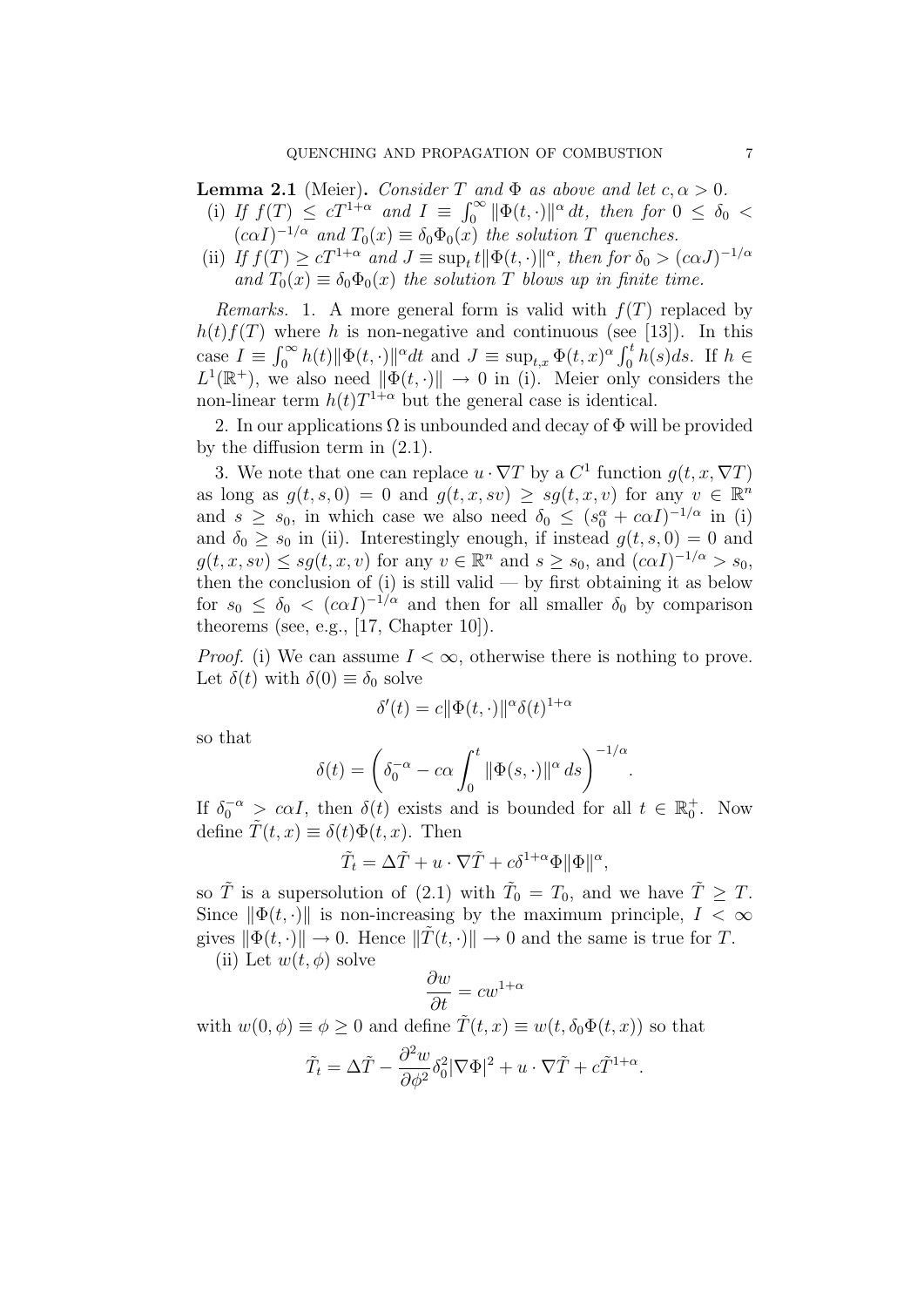**Lemma 2.1** (Meier). Consider T and  $\Phi$  as above and let  $c, \alpha > 0$ .

- (i) If  $f(T) \leq cT^{1+\alpha}$  and  $I \equiv \int_0^\infty ||\Phi(t, \cdot)||^{\alpha} dt$ , then for  $0 \leq \delta_0 <$  $(c\alpha I)^{-1/\alpha}$  and  $T_0(x) \equiv \delta_0 \Phi_0(x)$  the solution T quenches.
- (ii) If  $f(T) \ge cT^{1+\alpha}$  and  $J \equiv \sup_t t ||\Phi(t, \cdot)||^{\alpha}$ , then for  $\delta_0 > (c\alpha J)^{-1/\alpha}$ and  $T_0(x) \equiv \delta_0 \Phi_0(x)$  the solution T blows up in finite time.

*Remarks.* 1. A more general form is valid with  $f(T)$  replaced by  $h(t)f(T)$  where h is non-negative and continuous (see [13]). In this case  $I \equiv \int_0^\infty h(t) \|\Phi(t, \cdot)\|^\alpha dt$  and  $J \equiv \sup_{t,x} \Phi(t, x)^\alpha \int_0^t h(s) ds$ . If  $h \in$  $L^1(\mathbb{R}^+)$ , we also need  $\|\Phi(t, \cdot)\| \to 0$  in (i). Meier only considers the non-linear term  $h(t)T^{1+\alpha}$  but the general case is identical.

2. In our applications  $\Omega$  is unbounded and decay of  $\Phi$  will be provided by the diffusion term in (2.1).

3. We note that one can replace  $u \cdot \nabla T$  by a  $C^1$  function  $g(t, x, \nabla T)$ as long as  $g(t, s, 0) = 0$  and  $g(t, x, sv) \geq sg(t, x, v)$  for any  $v \in \mathbb{R}^n$ and  $s \geq s_0$ , in which case we also need  $\delta_0 \leq (s_0^{\alpha} + c \alpha I)^{-1/\alpha}$  in (i) and  $\delta_0 \geq s_0$  in (ii). Interestingly enough, if instead  $g(t, s, 0) = 0$  and  $g(t, x, sv) \le sg(t, x, v)$  for any  $v \in \mathbb{R}^n$  and  $s \ge s_0$ , and  $(c\alpha I)^{-1/\alpha} > s_0$ , then the conclusion of  $(i)$  is still valid — by first obtaining it as below for  $s_0 \leq \delta_0 < (c \alpha I)^{-1/\alpha}$  and then for all smaller  $\delta_0$  by comparison theorems (see, e.g., [17, Chapter 10]).

*Proof.* (i) We can assume  $I < \infty$ , otherwise there is nothing to prove. Let  $\delta(t)$  with  $\delta(0) \equiv \delta_0$  solve

$$
\delta'(t) = c \|\Phi(t, \cdot)\|^\alpha \delta(t)^{1+\alpha}
$$

so that

$$
\delta(t) = \left(\delta_0^{-\alpha} - c\alpha \int_0^t \|\Phi(s, \cdot)\|^\alpha ds\right)^{-1/\alpha}
$$

.

If  $\delta_0^{-\alpha} > c\alpha I$ , then  $\delta(t)$  exists and is bounded for all  $t \in \mathbb{R}_0^+$ . Now define  $T(t, x) \equiv \delta(t)\Phi(t, x)$ . Then

$$
\tilde{T}_t = \Delta \tilde{T} + u \cdot \nabla \tilde{T} + c \delta^{1+\alpha} \Phi ||\Phi||^{\alpha},
$$

so  $\tilde{T}$  is a supersolution of (2.1) with  $\tilde{T}_0 = T_0$ , and we have  $\tilde{T} \geq T$ . Since  $\|\Phi(t, \cdot)\|$  is non-increasing by the maximum principle,  $I < \infty$ gives  $\|\Phi(t, \cdot)\| \to 0$ . Hence  $\|\hat{T}(t, \cdot)\| \to 0$  and the same is true for T.

(ii) Let  $w(t, \phi)$  solve

$$
\frac{\partial w}{\partial t} = cw^{1+\alpha}
$$

with  $w(0, \phi) \equiv \phi \geq 0$  and define  $\tilde{T}(t, x) \equiv w(t, \delta_0 \Phi(t, x))$  so that

$$
\tilde{T}_t = \Delta \tilde{T} - \frac{\partial^2 w}{\partial \phi^2} \delta_0^2 |\nabla \Phi|^2 + u \cdot \nabla \tilde{T} + c \tilde{T}^{1+\alpha}.
$$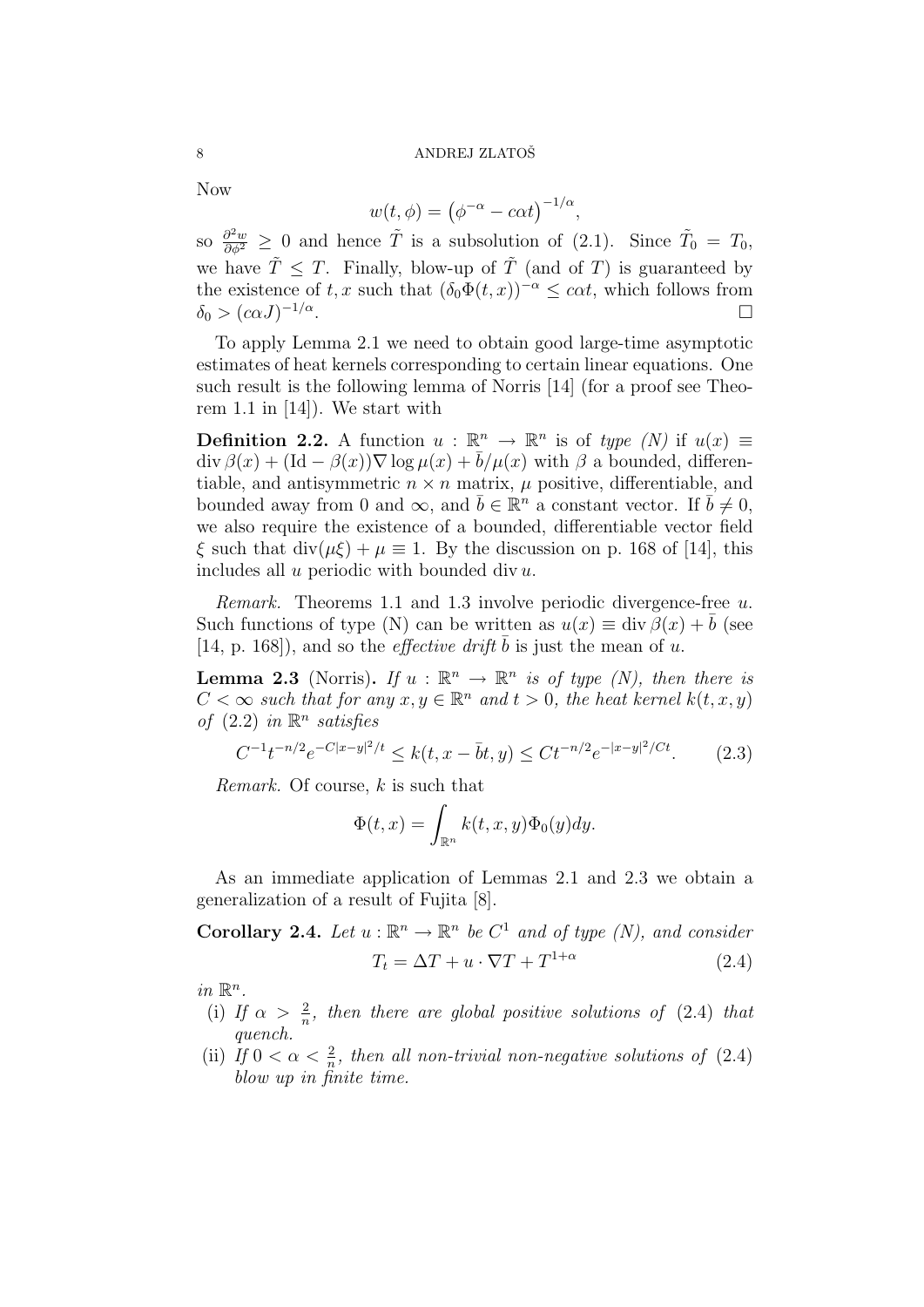Now

$$
w(t, \phi) = (\phi^{-\alpha} - c\alpha t)^{-1/\alpha},
$$

so  $\frac{\partial^2 w}{\partial \phi^2} \geq 0$  and hence  $\tilde{T}$  is a subsolution of (2.1). Since  $\tilde{T}_0 = T_0$ , we have  $\tilde{T} \leq T$ . Finally, blow-up of  $\tilde{T}$  (and of T) is guaranteed by the existence of t, x such that  $(\delta_0 \Phi(t, x))^{-\alpha} \leq \alpha t$ , which follows from  $\delta_0 > (c\alpha J)^{-1/\alpha}$ .

To apply Lemma 2.1 we need to obtain good large-time asymptotic estimates of heat kernels corresponding to certain linear equations. One such result is the following lemma of Norris [14] (for a proof see Theorem 1.1 in [14]). We start with

**Definition 2.2.** A function  $u : \mathbb{R}^n \to \mathbb{R}^n$  is of type  $(N)$  if  $u(x) \equiv$  $\text{div }\beta(x) + (\text{Id } - \beta(x))\nabla \log \mu(x) + \overline{b}/\mu(x)$  with  $\beta$  a bounded, differentiable, and antisymmetric  $n \times n$  matrix,  $\mu$  positive, differentiable, and bounded away from 0 and  $\infty$ , and  $\bar{b} \in \mathbb{R}^n$  a constant vector. If  $\bar{b} \neq 0$ , we also require the existence of a bounded, differentiable vector field  $\xi$  such that  $\text{div}(\mu\xi) + \mu \equiv 1$ . By the discussion on p. 168 of [14], this includes all  $u$  periodic with bounded div  $u$ .

Remark. Theorems 1.1 and 1.3 involve periodic divergence-free u. Such functions of type (N) can be written as  $u(x) \equiv \text{div }\beta(x) + b$  (see [14, p. 168]), and so the *effective drift*  $\overline{b}$  is just the mean of u.

**Lemma 2.3** (Norris). If  $u : \mathbb{R}^n \to \mathbb{R}^n$  is of type (N), then there is  $C < \infty$  such that for any  $x, y \in \mathbb{R}^n$  and  $t > 0$ , the heat kernel  $k(t, x, y)$ of  $(2.2)$  in  $\mathbb{R}^n$  satisfies

$$
C^{-1}t^{-n/2}e^{-C|x-y|^2/t} \le k(t, x - \bar{b}t, y) \le Ct^{-n/2}e^{-|x-y|^2/Ct}.\tag{2.3}
$$

Remark. Of course, k is such that

$$
\Phi(t,x) = \int_{\mathbb{R}^n} k(t,x,y)\Phi_0(y)dy.
$$

As an immediate application of Lemmas 2.1 and 2.3 we obtain a generalization of a result of Fujita [8].

**Corollary 2.4.** Let  $u : \mathbb{R}^n \to \mathbb{R}^n$  be  $C^1$  and of type (N), and consider  $T_t = \Delta T + u \cdot \nabla T + T^{1+\alpha}$ (2.4)

in  $\mathbb{R}^n$ .

- (i) If  $\alpha > \frac{2}{n}$ , then there are global positive solutions of (2.4) that quench.
- (ii) If  $0 < \alpha < \frac{2}{n}$ , then all non-trivial non-negative solutions of (2.4) blow up in finite time.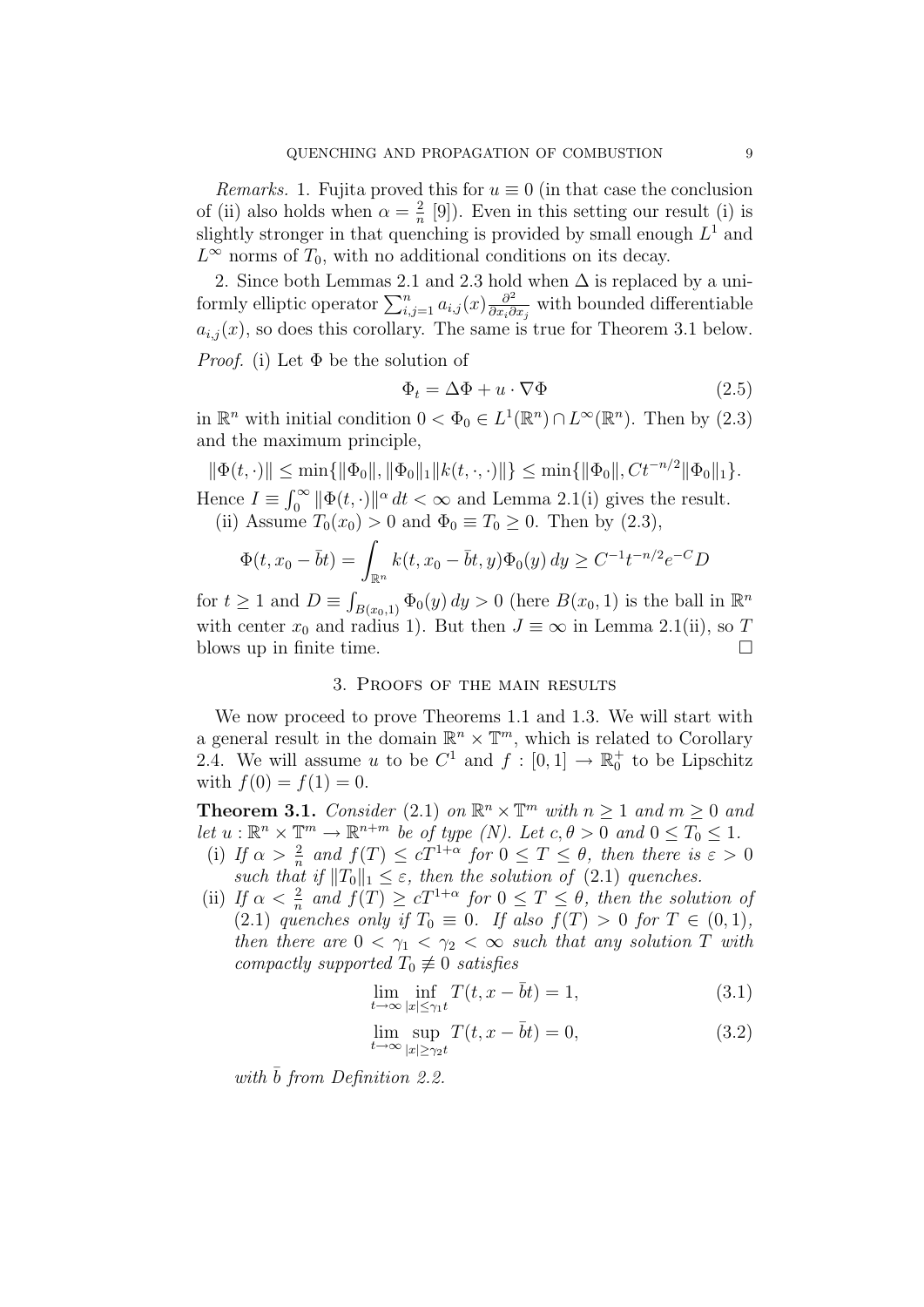*Remarks.* 1. Fujita proved this for  $u \equiv 0$  (in that case the conclusion of (ii) also holds when  $\alpha = \frac{2}{n}$  $\frac{2}{n}$  [9]). Even in this setting our result (i) is slightly stronger in that quenching is provided by small enough  $L^1$  and  $L^{\infty}$  norms of  $T_0$ , with no additional conditions on its decay.

2. Since both Lemmas 2.1 and 2.3 hold when  $\Delta$  is replaced by a uniformly elliptic operator  $\sum_{i,j=1}^n a_{i,j}(x) \frac{\partial^2}{\partial x_i \partial x_j}$  $\frac{\partial^2}{\partial x_i \partial x_j}$  with bounded differentiable  $a_{i,j}(x)$ , so does this corollary. The same is true for Theorem 3.1 below. *Proof.* (i) Let  $\Phi$  be the solution of

$$
\Phi_t = \Delta \Phi + u \cdot \nabla \Phi \tag{2.5}
$$

in  $\mathbb{R}^n$  with initial condition  $0 < \Phi_0 \in L^1(\mathbb{R}^n) \cap L^\infty(\mathbb{R}^n)$ . Then by  $(2.3)$ and the maximum principle,

 $\|\Phi(t, \cdot)\| \le \min\{\|\Phi_0\|, \|\Phi_0\|_1 \|k(t, \cdot, \cdot)\|\} \le \min\{\|\Phi_0\|, Ct^{-n/2} \|\Phi_0\|_1\}.$ Hence  $I \equiv \int_0^\infty \|\Phi(t, \cdot)\|^\alpha dt < \infty$  and Lemma 2.1(i) gives the result. (ii) Assume  $T_0(x_0) > 0$  and  $\Phi_0 \equiv T_0 \geq 0$ . Then by  $(2.3)$ ,

$$
\Phi(t, x_0 - \bar{b}t) = \int_{\mathbb{R}^n} k(t, x_0 - \bar{b}t, y)\Phi_0(y) dy \ge C^{-1}t^{-n/2}e^{-C}D
$$

for  $t \geq 1$  and  $D \equiv \int_{B(x_0,1)} \Phi_0(y) dy > 0$  (here  $B(x_0, 1)$  is the ball in  $\mathbb{R}^n$ with center  $x_0$  and radius 1). But then  $J \equiv \infty$  in Lemma 2.1(ii), so T blows up in finite time.  $\Box$ 

### 3. Proofs of the main results

We now proceed to prove Theorems 1.1 and 1.3. We will start with a general result in the domain  $\mathbb{R}^n \times \mathbb{T}^m$ , which is related to Corollary 2.4. We will assume u to be  $C^1$  and  $f: [0,1] \to \mathbb{R}_0^+$  to be Lipschitz with  $f(0) = f(1) = 0$ .

**Theorem 3.1.** Consider (2.1) on  $\mathbb{R}^n \times \mathbb{T}^m$  with  $n \geq 1$  and  $m \geq 0$  and let  $u : \mathbb{R}^n \times \mathbb{T}^m \to \mathbb{R}^{n+m}$  be of type (N). Let  $c, \theta > 0$  and  $0 \le T_0 \le 1$ .

- (i) If  $\alpha > \frac{2}{n}$  and  $f(T) \le cT^{1+\alpha}$  for  $0 \le T \le \theta$ , then there is  $\varepsilon > 0$ such that if  $||T_0||_1 \leq \varepsilon$ , then the solution of (2.1) quenches.
- (ii) If  $\alpha < \frac{2}{n}$  and  $f(T) \ge cT^{1+\alpha}$  for  $0 \le T \le \theta$ , then the solution of (2.1) quenches only if  $T_0 \equiv 0$ . If also  $f(T) > 0$  for  $T \in (0,1)$ , then there are  $0 < \gamma_1 < \gamma_2 < \infty$  such that any solution T with compactly supported  $T_0 \not\equiv 0$  satisfies

$$
\lim_{t \to \infty} \inf_{|x| \le \gamma_1 t} T(t, x - \bar{b}t) = 1,\tag{3.1}
$$

$$
\lim_{t \to \infty} \sup_{|x| \ge \gamma_2 t} T(t, x - \bar{b}t) = 0,
$$
\n(3.2)

with  $\bar{b}$  from Definition 2.2.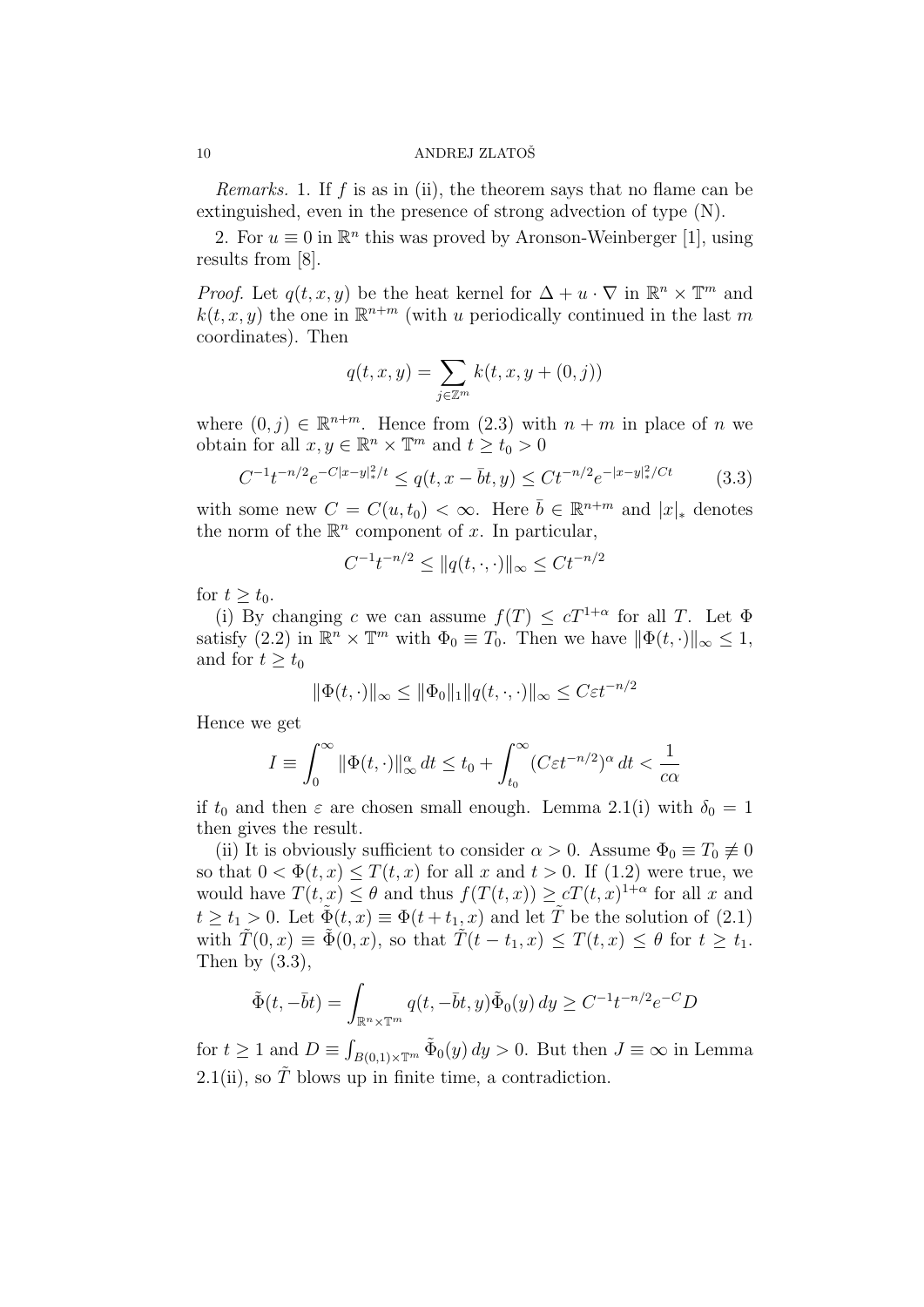*Remarks.* 1. If f is as in (ii), the theorem says that no flame can be extinguished, even in the presence of strong advection of type (N).

2. For  $u \equiv 0$  in  $\mathbb{R}^n$  this was proved by Aronson-Weinberger [1], using results from [8].

*Proof.* Let  $q(t, x, y)$  be the heat kernel for  $\Delta + u \cdot \nabla$  in  $\mathbb{R}^n \times \mathbb{T}^m$  and  $k(t, x, y)$  the one in  $\mathbb{R}^{n+m}$  (with u periodically continued in the last m coordinates). Then

$$
q(t,x,y) = \sum_{j \in \mathbb{Z}^m} k(t,x,y+(0,j))
$$

where  $(0, j) \in \mathbb{R}^{n+m}$ . Hence from  $(2.3)$  with  $n + m$  in place of n we obtain for all  $x, y \in \mathbb{R}^n \times \mathbb{T}^m$  and  $t \geq t_0 > 0$ 

$$
C^{-1}t^{-n/2}e^{-C|x-y|_{*}^{2}/t} \le q(t, x - \bar{b}t, y) \le Ct^{-n/2}e^{-|x-y|_{*}^{2}/Ct}
$$
 (3.3)

with some new  $C = C(u, t_0) < \infty$ . Here  $\bar{b} \in \mathbb{R}^{n+m}$  and  $|x|_*$  denotes the norm of the  $\mathbb{R}^n$  component of x. In particular,

$$
C^{-1}t^{-n/2} \le ||q(t, \cdot, \cdot)||_{\infty} \le Ct^{-n/2}
$$

for  $t \geq t_0$ .

(i) By changing c we can assume  $f(T) \leq cT^{1+\alpha}$  for all T. Let  $\Phi$ satisfy (2.2) in  $\mathbb{R}^n \times \mathbb{T}^m$  with  $\Phi_0 \equiv T_0$ . Then we have  $\|\Phi(t, \cdot)\|_{\infty} \leq 1$ , and for  $t \geq t_0$ 

$$
\|\Phi(t,\cdot)\|_{\infty} \le \|\Phi_0\|_1 \|q(t,\cdot,\cdot)\|_{\infty} \le C\varepsilon t^{-n/2}
$$

Hence we get

$$
I \equiv \int_0^\infty \|\Phi(t,\cdot)\|_\infty^\alpha dt \le t_0 + \int_{t_0}^\infty (C\varepsilon t^{-n/2})^\alpha dt < \frac{1}{c\alpha}
$$

if  $t_0$  and then  $\varepsilon$  are chosen small enough. Lemma 2.1(i) with  $\delta_0 = 1$ then gives the result.

(ii) It is obviously sufficient to consider  $\alpha > 0$ . Assume  $\Phi_0 \equiv T_0 \not\equiv 0$ so that  $0 < \Phi(t, x) \leq T(t, x)$  for all x and  $t > 0$ . If (1.2) were true, we would have  $T(t, x) \leq \theta$  and thus  $f(T(t, x)) \geq cT(t, x)^{1+\alpha}$  for all x and  $t \geq t_1 > 0$ . Let  $\tilde{\Phi}(t, x) \equiv \Phi(t + t_1, x)$  and let  $\tilde{T}$  be the solution of (2.1) with  $\tilde{T}(0, x) \equiv \tilde{\Phi}(0, x)$ , so that  $\tilde{T}(t - t_1, x) \leq T(t, x) \leq \theta$  for  $t \geq t_1$ . Then by  $(3.3)$ ,

$$
\tilde{\Phi}(t, -\bar{b}t) = \int_{\mathbb{R}^n \times \mathbb{T}^m} q(t, -\bar{b}t, y) \tilde{\Phi}_0(y) dy \ge C^{-1} t^{-n/2} e^{-C} D
$$

for  $t \geq 1$  and  $D \equiv \int_{B(0,1)\times\mathbb{T}^m} \tilde{\Phi}_0(y) dy > 0$ . But then  $J \equiv \infty$  in Lemma 2.1(ii), so  $\tilde{T}$  blows up in finite time, a contradiction.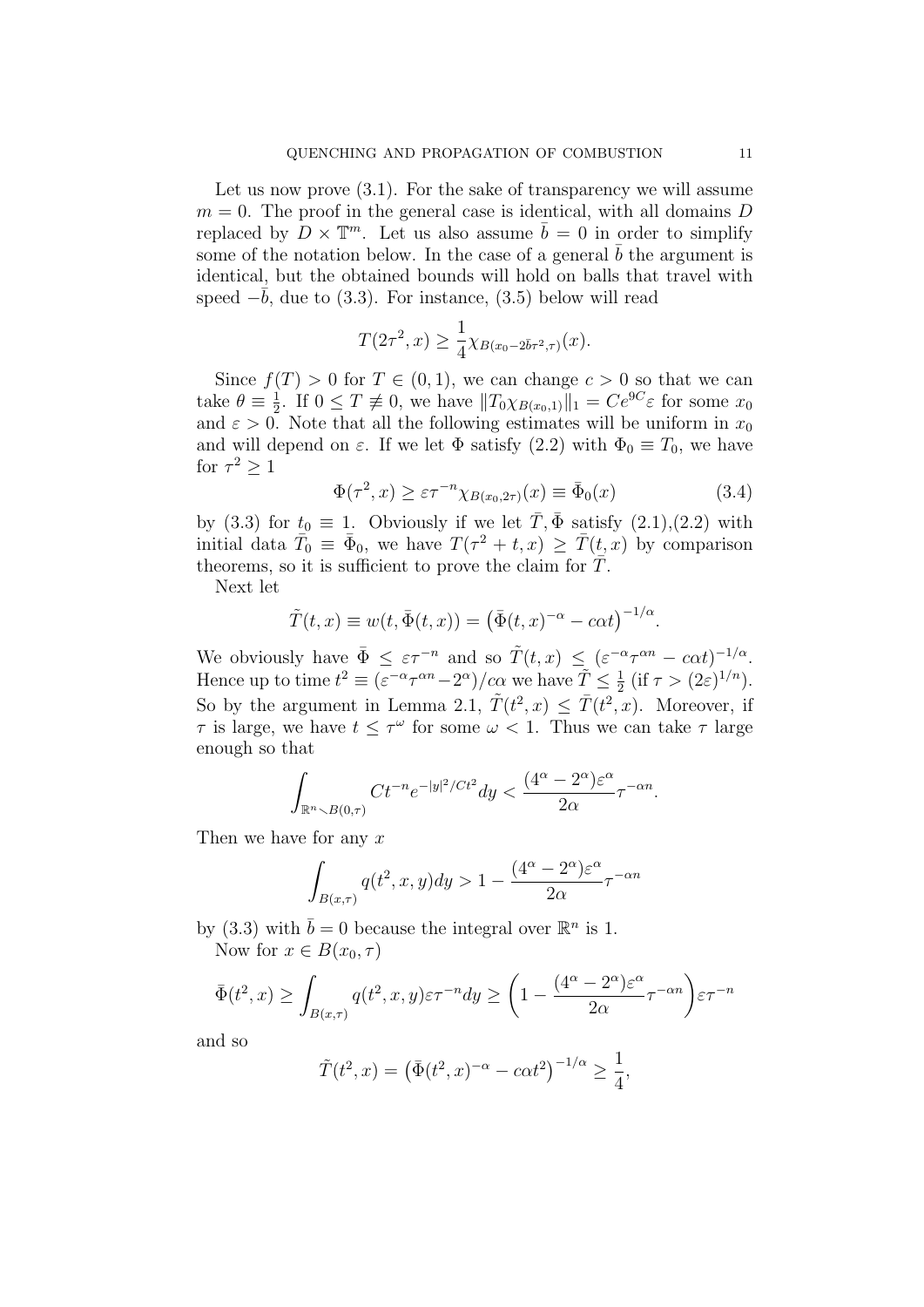Let us now prove  $(3.1)$ . For the sake of transparency we will assume  $m = 0$ . The proof in the general case is identical, with all domains D replaced by  $D \times \mathbb{T}^m$ . Let us also assume  $\bar{b} = 0$  in order to simplify some of the notation below. In the case of a general  $\overline{b}$  the argument is identical, but the obtained bounds will hold on balls that travel with speed  $-\bar{b}$ , due to (3.3). For instance, (3.5) below will read

$$
T(2\tau^2, x) \ge \frac{1}{4} \chi_{B(x_0 - 2\bar{b}\tau^2, \tau)}(x).
$$

Since  $f(T) > 0$  for  $T \in (0, 1)$ , we can change  $c > 0$  so that we can take  $\theta \equiv \frac{1}{2}$  $\frac{1}{2}$ . If  $0 \leq T \neq 0$ , we have  $||T_0 \chi_{B(x_0,1)}||_1 = Ce^{9C}\varepsilon$  for some  $x_0$ and  $\varepsilon > 0$ . Note that all the following estimates will be uniform in  $x_0$ and will depend on  $\varepsilon$ . If we let  $\Phi$  satisfy (2.2) with  $\Phi_0 \equiv T_0$ , we have for  $\tau^2 \geq 1$ 

$$
\Phi(\tau^2, x) \ge \varepsilon \tau^{-n} \chi_{B(x_0, 2\tau)}(x) \equiv \bar{\Phi}_0(x) \tag{3.4}
$$

by (3.3) for  $t_0 \equiv 1$ . Obviously if we let  $\overline{T}$ ,  $\overline{\Phi}$  satisfy (2.1),(2.2) with initial data  $\overline{T}_0 \equiv \overline{\Phi}_0$ , we have  $T(\tau^2 + t, x) \geq \overline{T}(t, x)$  by comparison theorems, so it is sufficient to prove the claim for  $\bar{T}$ .

Next let

$$
\tilde{T}(t,x) \equiv w(t, \bar{\Phi}(t,x)) = (\bar{\Phi}(t,x)^{-\alpha} - c\alpha t)^{-1/\alpha}.
$$

We obviously have  $\bar{\Phi} \leq \varepsilon \tau^{-n}$  and so  $\tilde{T}(t,x) \leq (\varepsilon^{-\alpha} \tau^{\alpha n} - c \alpha t)^{-1/\alpha}$ . Hence up to time  $t^2 \equiv (\varepsilon^{-\alpha} \tau^{\alpha n} - 2^{\alpha})/c\alpha$  we have  $\tilde{T} \leq \frac{1}{2}$  $\frac{1}{2}$  (if  $\tau > (2\varepsilon)^{1/n}$ ). So by the argument in Lemma 2.1,  $\tilde{T}(t^2, x) \leq \overline{T}(t^2, x)$ . Moreover, if  $\tau$  is large, we have  $t \leq \tau^{\omega}$  for some  $\omega < 1$ . Thus we can take  $\tau$  large enough so that

$$
\int_{\mathbb{R}^n\smallsetminus B(0,\tau)} Ct^{-n}e^{-|y|^2/Ct^2}dy < \frac{(4^\alpha-2^\alpha)\varepsilon^\alpha}{2\alpha}\tau^{-\alpha n}.
$$

Then we have for any  $x$ 

$$
\int_{B(x,\tau)} q(t^2, x, y) dy > 1 - \frac{(4^{\alpha} - 2^{\alpha})\varepsilon^{\alpha}}{2\alpha} \tau^{-\alpha n}
$$

by (3.3) with  $\bar{b} = 0$  because the integral over  $\mathbb{R}^n$  is 1. Now for  $x \in B(x_0, \tau)$ 

$$
\bar{\Phi}(t^2, x) \ge \int_{B(x,\tau)} q(t^2, x, y) \varepsilon \tau^{-n} dy \ge \left(1 - \frac{(4^{\alpha} - 2^{\alpha})\varepsilon^{\alpha}}{2\alpha} \tau^{-\alpha n}\right) \varepsilon \tau^{-n}
$$

and so

$$
\tilde{T}(t^2, x) = (\bar{\Phi}(t^2, x)^{-\alpha} - c\alpha t^2)^{-1/\alpha} \ge \frac{1}{4},
$$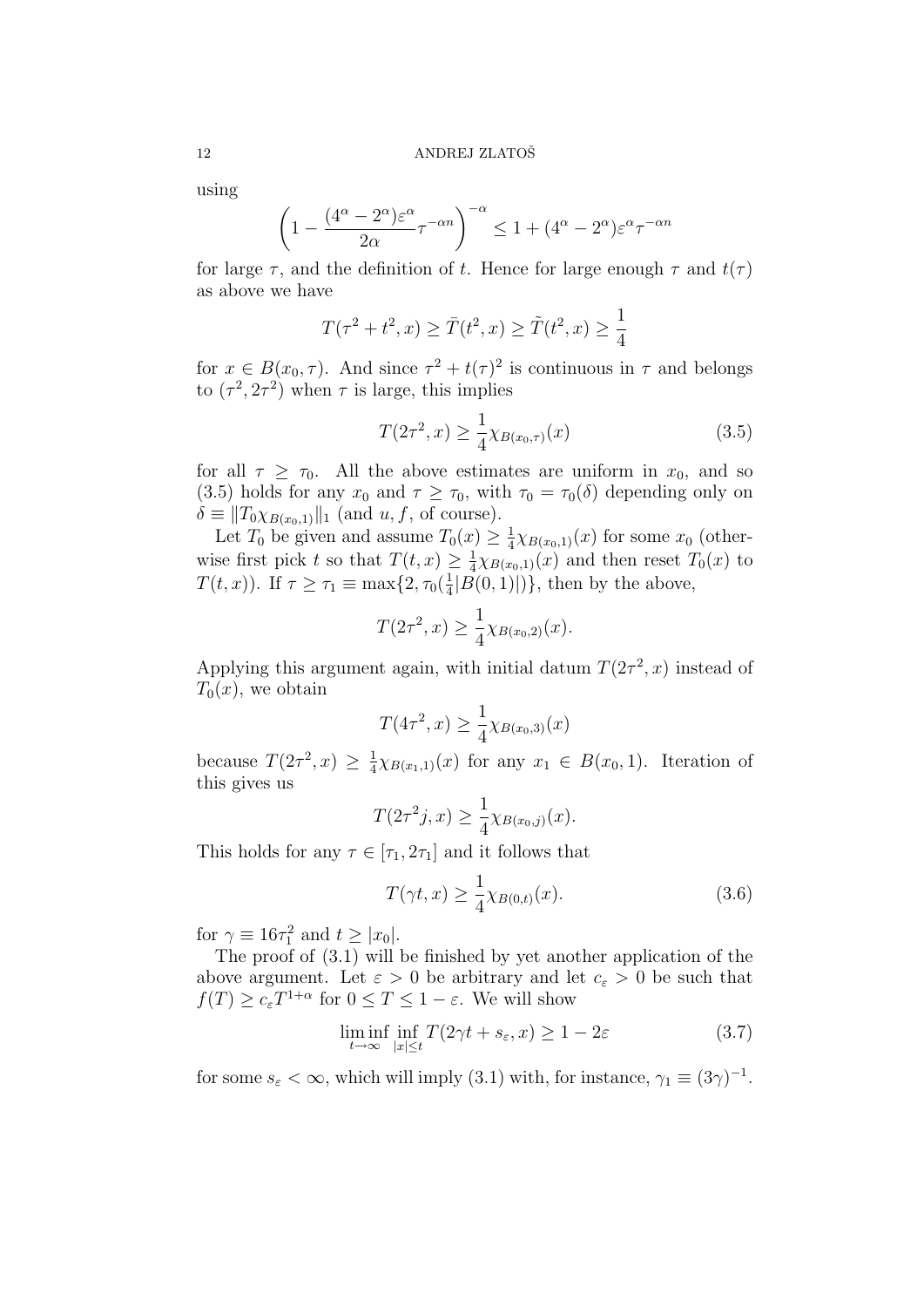using

$$
\left(1 - \frac{(4^{\alpha} - 2^{\alpha})\varepsilon^{\alpha}}{2\alpha}\tau^{-\alpha n}\right)^{-\alpha} \le 1 + (4^{\alpha} - 2^{\alpha})\varepsilon^{\alpha}\tau^{-\alpha n}
$$

for large  $\tau$ , and the definition of t. Hence for large enough  $\tau$  and  $t(\tau)$ as above we have

$$
T(\tau^2 + t^2, x) \ge \bar{T}(t^2, x) \ge \tilde{T}(t^2, x) \ge \frac{1}{4}
$$

for  $x \in B(x_0, \tau)$ . And since  $\tau^2 + t(\tau)^2$  is continuous in  $\tau$  and belongs to  $(\tau^2, 2\tau^2)$  when  $\tau$  is large, this implies

$$
T(2\tau^2, x) \ge \frac{1}{4}\chi_{B(x_0, \tau)}(x) \tag{3.5}
$$

for all  $\tau \geq \tau_0$ . All the above estimates are uniform in  $x_0$ , and so (3.5) holds for any  $x_0$  and  $\tau \geq \tau_0$ , with  $\tau_0 = \tau_0(\delta)$  depending only on  $\delta \equiv ||T_0 \chi_{B(x_0,1)}||_1$  (and  $u, f$ , of course).

Let  $T_0$  be given and assume  $T_0(x) \geq \frac{1}{4}$  $\frac{1}{4}\chi_{B(x_0,1)}(x)$  for some  $x_0$  (otherwise first pick t so that  $T(t, x) \geq \frac{1}{4}$  $\frac{1}{4}\chi_{B(x_0,1)}(x)$  and then reset  $T_0(x)$  to  $T(t, x)$ ). If  $\tau \geq \tau_1 \equiv \max\{2, \tau_0(\frac{1}{4})\}$  $\frac{1}{4}|B(0,1)|$ }, then by the above,

$$
T(2\tau^2, x) \ge \frac{1}{4} \chi_{B(x_0, 2)}(x).
$$

Applying this argument again, with initial datum  $T(2\tau^2, x)$  instead of  $T_0(x)$ , we obtain

$$
T(4\tau^2, x) \ge \frac{1}{4}\chi_{B(x_0,3)}(x)
$$

because  $T(2\tau^2, x) \geq \frac{1}{4}$  $\frac{1}{4}\chi_{B(x_1,1)}(x)$  for any  $x_1 \in B(x_0,1)$ . Iteration of this gives us

$$
T(2\tau^{2}j,x) \geq \frac{1}{4}\chi_{B(x_{0},j)}(x).
$$

This holds for any  $\tau \in [\tau_1, 2\tau_1]$  and it follows that

$$
T(\gamma t, x) \ge \frac{1}{4}\chi_{B(0,t)}(x). \tag{3.6}
$$

for  $\gamma \equiv 16\tau_1^2$  and  $t \geq |x_0|$ .

The proof of (3.1) will be finished by yet another application of the above argument. Let  $\varepsilon > 0$  be arbitrary and let  $c_{\varepsilon} > 0$  be such that  $f(T) \ge c_{\varepsilon} T^{1+\alpha}$  for  $0 \le T \le 1-\varepsilon$ . We will show

$$
\liminf_{t \to \infty} \inf_{|x| \le t} T(2\gamma t + s_{\varepsilon}, x) \ge 1 - 2\varepsilon \tag{3.7}
$$

for some  $s_{\varepsilon} < \infty$ , which will imply (3.1) with, for instance,  $\gamma_1 \equiv (3\gamma)^{-1}$ .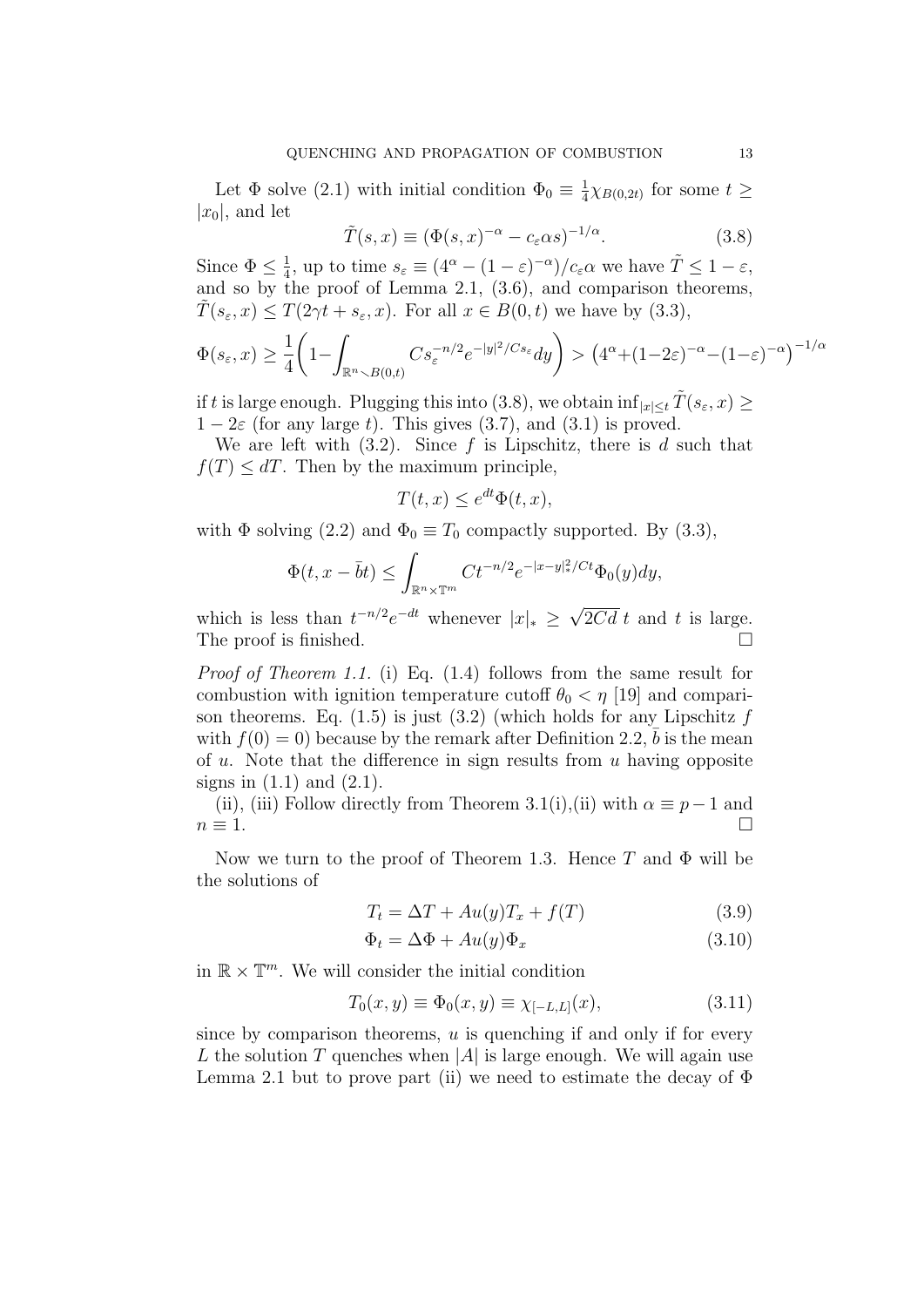Let  $\Phi$  solve (2.1) with initial condition  $\Phi_0 \equiv \frac{1}{4}$  $\frac{1}{4}\chi_{B(0,2t)}$  for some  $t \geq$  $|x_0|$ , and let

$$
\tilde{T}(s,x) \equiv (\Phi(s,x)^{-\alpha} - c_{\varepsilon}\alpha s)^{-1/\alpha}.
$$
\n(3.8)

Since  $\Phi \leq \frac{1}{4}$  $\frac{1}{4}$ , up to time  $s_{\varepsilon} \equiv (4^{\alpha} - (1 - \varepsilon)^{-\alpha})/c_{\varepsilon} \alpha$  we have  $\tilde{T} \leq 1 - \varepsilon$ , and so by the proof of Lemma 2.1, (3.6), and comparison theorems,  $T(s_{\varepsilon}, x) \leq T(2\gamma t + s_{\varepsilon}, x)$ . For all  $x \in B(0, t)$  we have by  $(3.3)$ ,

$$
\Phi(s_{\varepsilon},x) \ge \frac{1}{4} \left( 1 - \int_{\mathbb{R}^n \setminus B(0,t)} Cs_{\varepsilon}^{-n/2} e^{-|y|^2/Cs_{\varepsilon}} dy \right) > \left( 4^{\alpha} + (1-2\varepsilon)^{-\alpha} - (1-\varepsilon)^{-\alpha} \right)^{-1/\alpha}
$$

if t is large enough. Plugging this into (3.8), we obtain  $\inf_{|x| \leq t} T(s_{\varepsilon}, x) \geq$  $1-2\varepsilon$  (for any large t). This gives (3.7), and (3.1) is proved.

We are left with  $(3.2)$ . Since f is Lipschitz, there is d such that  $f(T) \leq dT$ . Then by the maximum principle,

$$
T(t, x) \le e^{dt} \Phi(t, x),
$$

with  $\Phi$  solving (2.2) and  $\Phi_0 \equiv T_0$  compactly supported. By (3.3),

$$
\Phi(t, x - \bar{b}t) \le \int_{\mathbb{R}^n \times \mathbb{T}^m} Ct^{-n/2} e^{-|x - y|_*^2/Ct} \Phi_0(y) dy,
$$

which is less than  $t^{-n/2}e^{-dt}$  whenever  $|x|_* \geq$  $2Cd$  t and t is large. The proof is finished.

Proof of Theorem 1.1. (i) Eq. (1.4) follows from the same result for combustion with ignition temperature cutoff  $\theta_0 < \eta$  [19] and comparison theorems. Eq.  $(1.5)$  is just  $(3.2)$  (which holds for any Lipschitz f with  $f(0) = 0$  because by the remark after Definition 2.2,  $\bar{b}$  is the mean of  $u$ . Note that the difference in sign results from  $u$  having opposite signs in  $(1.1)$  and  $(2.1)$ .

(ii), (iii) Follow directly from Theorem 3.1(i),(ii) with  $\alpha \equiv p-1$  and  $n \equiv 1.$ 

Now we turn to the proof of Theorem 1.3. Hence T and  $\Phi$  will be the solutions of

$$
T_t = \Delta T + Au(y)T_x + f(T)
$$
\n(3.9)

$$
\Phi_t = \Delta \Phi + Au(y)\Phi_x \tag{3.10}
$$

in  $\mathbb{R} \times \mathbb{T}^m$ . We will consider the initial condition

$$
T_0(x, y) \equiv \Phi_0(x, y) \equiv \chi_{[-L, L]}(x), \tag{3.11}
$$

since by comparison theorems,  $u$  is quenching if and only if for every L the solution T quenches when |A| is large enough. We will again use Lemma 2.1 but to prove part (ii) we need to estimate the decay of  $\Phi$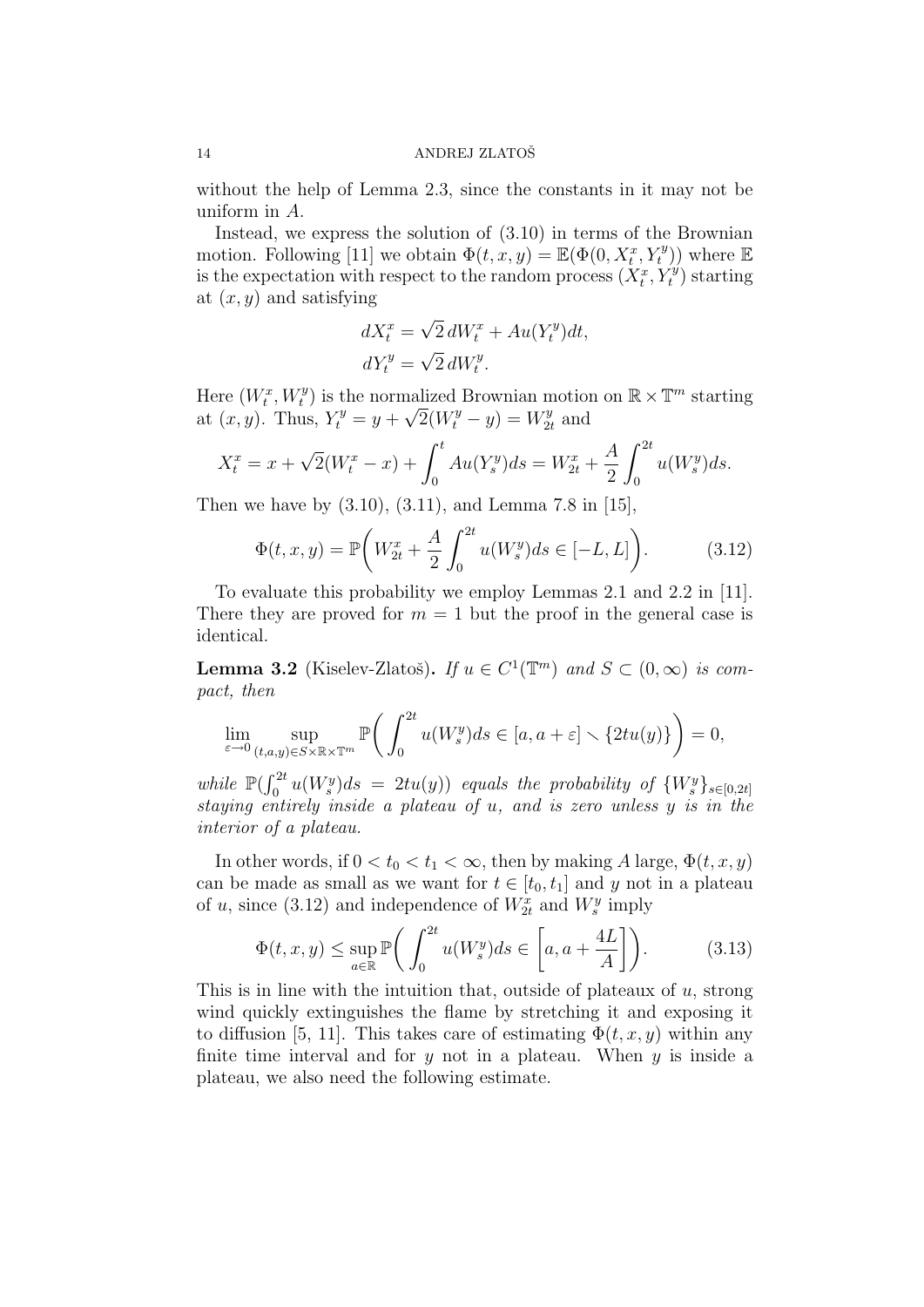without the help of Lemma 2.3, since the constants in it may not be uniform in A.

Instead, we express the solution of (3.10) in terms of the Brownian motion. Following [11] we obtain  $\Phi(t, x, y) = \mathbb{E}(\Phi(0, X_t^x, Y_t^y))$  where  $\mathbb{E}$ is the expectation with respect to the random process  $(X_t^x, Y_t^y)$  starting at  $(x, y)$  and satisfying

$$
dX_t^x = \sqrt{2} dW_t^x + Au(Y_t^y)dt,
$$
  

$$
dY_t^y = \sqrt{2} dW_t^y.
$$

Here  $(W_t^x, W_t^y)$  is the normalized Brownian motion on  $\mathbb{R} \times \mathbb{T}^m$  starting at  $(x, y)$ . Thus,  $Y_t^y = y + \sqrt{2}(W_t^y - y) = W_{2t}^y$  $x_2^y$  and

$$
X_t^x = x + \sqrt{2}(W_t^x - x) + \int_0^t Au(Y_s^y)ds = W_{2t}^x + \frac{A}{2} \int_0^{2t} u(W_s^y)ds.
$$

Then we have by (3.10), (3.11), and Lemma 7.8 in [15],

$$
\Phi(t, x, y) = \mathbb{P}\bigg(W_{2t}^x + \frac{A}{2} \int_0^{2t} u(W_s^y) ds \in [-L, L]\bigg). \tag{3.12}
$$

To evaluate this probability we employ Lemmas 2.1 and 2.2 in [11]. There they are proved for  $m = 1$  but the proof in the general case is identical.

**Lemma 3.2** (Kiselev-Zlatoš). If  $u \in C^1(\mathbb{T}^m)$  and  $S \subset (0,\infty)$  is compact, then

$$
\lim_{\varepsilon \to 0} \sup_{(t,a,y)\in S\times\mathbb{R}\times\mathbb{T}^m} \mathbb{P}\bigg(\int_0^{2t} u(W_s^y)ds \in [a,a+\varepsilon] \setminus \{2tu(y)\}\bigg) = 0,
$$

while  $\mathbb{P}(\int_0^{2t}u(W_s^y)ds = 2tu(y))$  equals the probability of  $\{W_s^y\}_{s\in[0,2t]}$ staying entirely inside a plateau of u, and is zero unless y is in the interior of a plateau.

In other words, if  $0 < t_0 < t_1 < \infty$ , then by making A large,  $\Phi(t, x, y)$ can be made as small as we want for  $t \in [t_0, t_1]$  and y not in a plateau of u, since (3.12) and independence of  $W_{2t}^x$  and  $W_{s}^y$  imply

$$
\Phi(t, x, y) \le \sup_{a \in \mathbb{R}} \mathbb{P}\bigg(\int_0^{2t} u(W_s^y) ds \in \left[a, a + \frac{4L}{A}\right]\bigg). \tag{3.13}
$$

This is in line with the intuition that, outside of plateaux of  $u$ , strong wind quickly extinguishes the flame by stretching it and exposing it to diffusion [5, 11]. This takes care of estimating  $\Phi(t, x, y)$  within any finite time interval and for  $y$  not in a plateau. When  $y$  is inside a plateau, we also need the following estimate.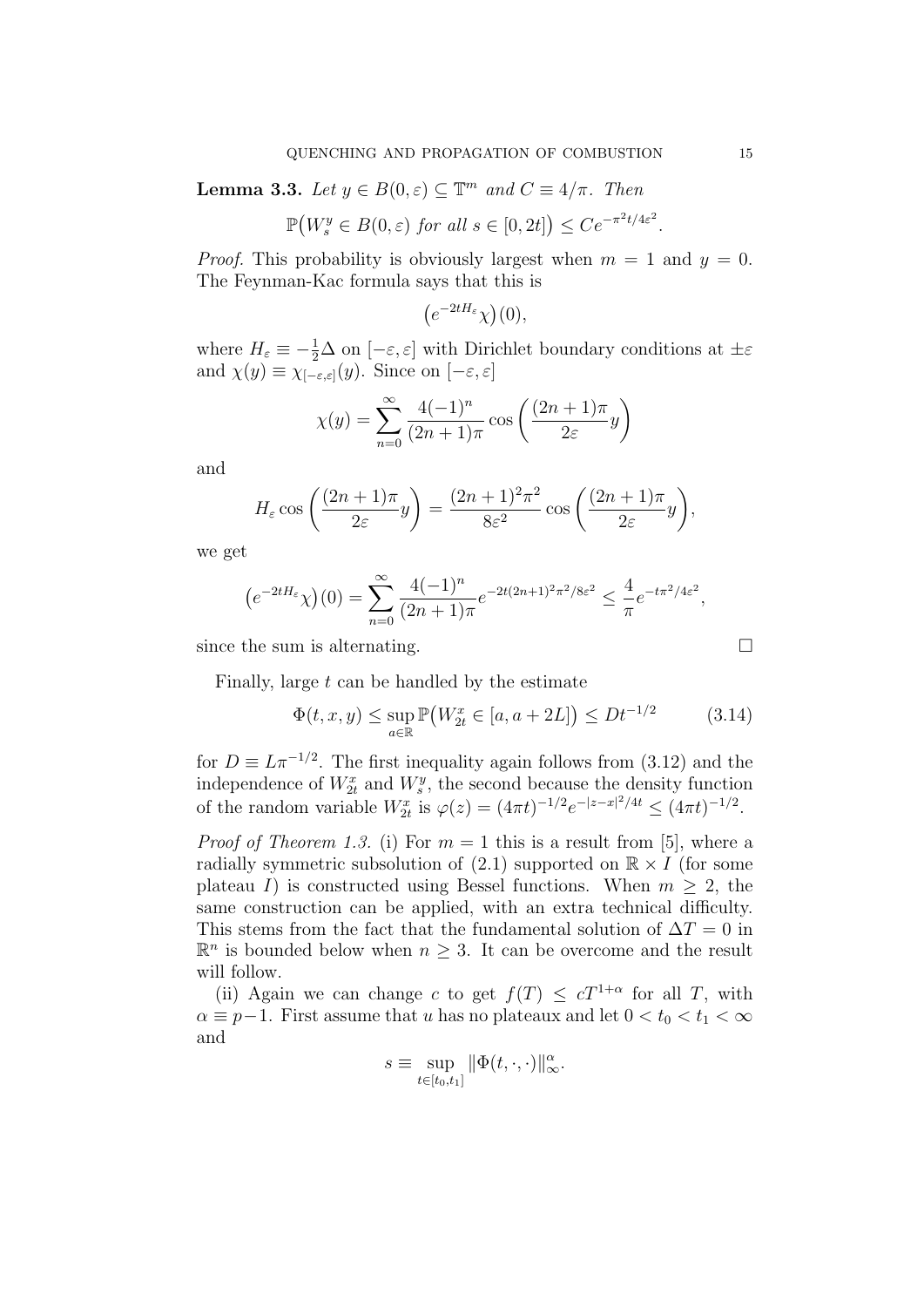**Lemma 3.3.** Let  $y \in B(0, \varepsilon) \subseteq \mathbb{T}^m$  and  $C \equiv 4/\pi$ . Then

$$
\mathbb{P}(W_s^y \in B(0,\varepsilon) \text{ for all } s \in [0,2t]) \le Ce^{-\pi^2 t/4\varepsilon^2}.
$$

*Proof.* This probability is obviously largest when  $m = 1$  and  $y = 0$ . The Feynman-Kac formula says that this is

$$
(e^{-2tH_{\varepsilon}}\chi)(0),
$$

where  $H_{\varepsilon} \equiv -\frac{1}{2}\Delta$  on  $[-\varepsilon, \varepsilon]$  with Dirichlet boundary conditions at  $\pm \varepsilon$ and  $\chi(y) \equiv \chi_{[-\varepsilon,\varepsilon]}(y)$ . Since on  $[-\varepsilon,\varepsilon]$ 

$$
\chi(y) = \sum_{n=0}^{\infty} \frac{4(-1)^n}{(2n+1)\pi} \cos\left(\frac{(2n+1)\pi}{2\varepsilon}y\right)
$$

and

$$
H_{\varepsilon} \cos \left( \frac{(2n+1)\pi}{2\varepsilon} y \right) = \frac{(2n+1)^2 \pi^2}{8\varepsilon^2} \cos \left( \frac{(2n+1)\pi}{2\varepsilon} y \right),
$$

we get

$$
(e^{-2tH_{\varepsilon}}\chi)(0) = \sum_{n=0}^{\infty} \frac{4(-1)^n}{(2n+1)\pi} e^{-2t(2n+1)^2\pi^2/8\varepsilon^2} \le \frac{4}{\pi} e^{-t\pi^2/4\varepsilon^2},
$$

since the sum is alternating.  $\square$ 

Finally, large  $t$  can be handled by the estimate

$$
\Phi(t, x, y) \le \sup_{a \in \mathbb{R}} \mathbb{P}(W_{2t}^x \in [a, a + 2L]) \le Dt^{-1/2}
$$
 (3.14)

for  $D \equiv L \pi^{-1/2}$ . The first inequality again follows from (3.12) and the independence of  $W_{2t}^{x}$  and  $W_{s}^{y}$ , the second because the density function of the random variable  $W_{2t}^{x}$  is  $\varphi(z) = (4\pi t)^{-1/2} e^{-|z-x|^2/4t} \leq (4\pi t)^{-1/2}$ .

*Proof of Theorem 1.3.* (i) For  $m = 1$  this is a result from [5], where a radially symmetric subsolution of  $(2.1)$  supported on  $\mathbb{R} \times I$  (for some plateau I) is constructed using Bessel functions. When  $m \geq 2$ , the same construction can be applied, with an extra technical difficulty. This stems from the fact that the fundamental solution of  $\Delta T = 0$  in  $\mathbb{R}^n$  is bounded below when  $n \geq 3$ . It can be overcome and the result will follow.

(ii) Again we can change c to get  $f(T) \leq cT^{1+\alpha}$  for all T, with  $\alpha \equiv p-1$ . First assume that u has no plateaux and let  $0 < t_0 < t_1 < \infty$ and

$$
s \equiv \sup_{t \in [t_0, t_1]} \|\Phi(t, \cdot, \cdot)\|_{\infty}^{\alpha}.
$$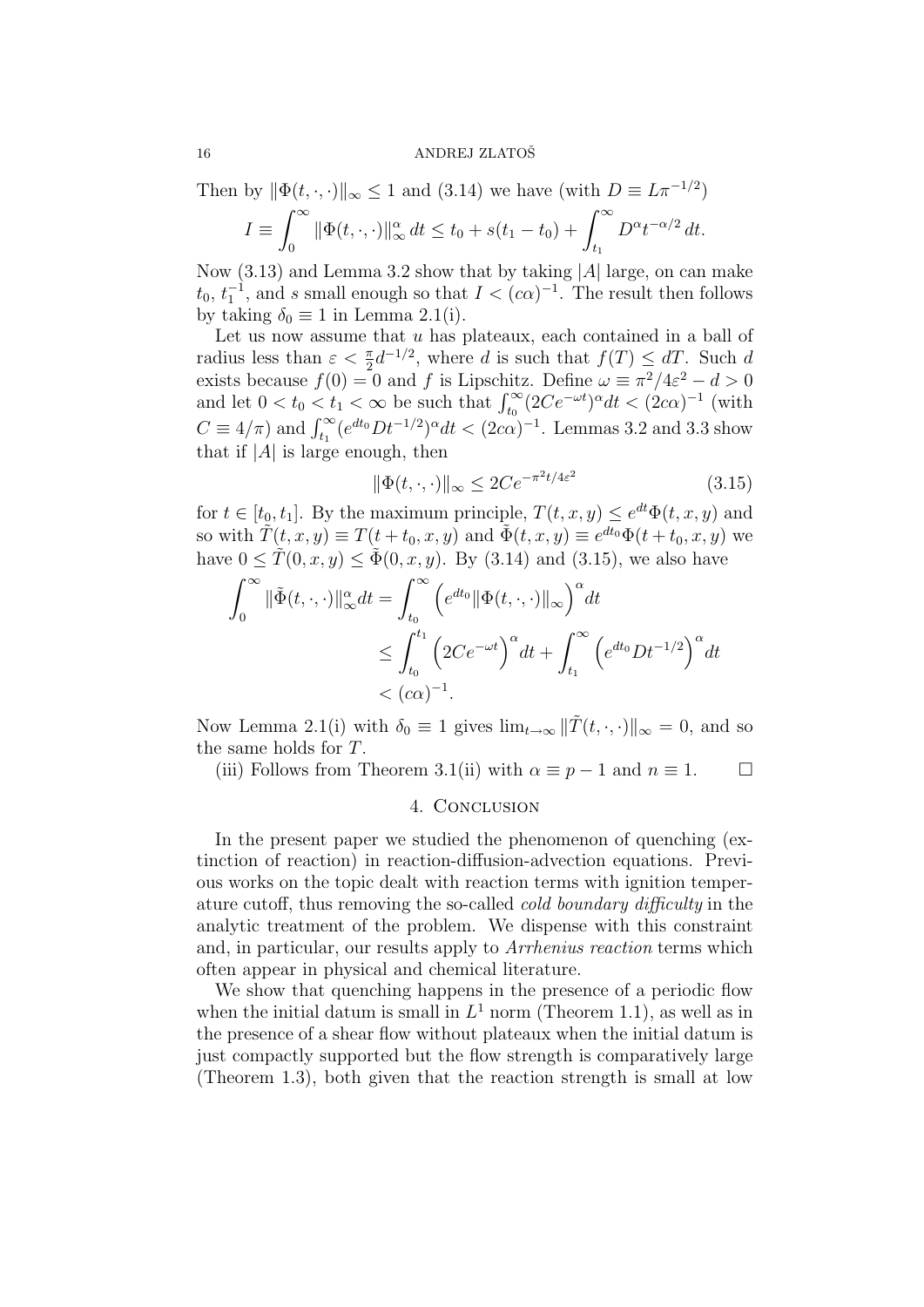Then by 
$$
\|\Phi(t,\cdot,\cdot)\|_{\infty} \leq 1
$$
 and (3.14) we have (with  $D \equiv L\pi^{-1/2}$ )\n
$$
I \equiv \int_0^\infty \|\Phi(t,\cdot,\cdot)\|_{\infty}^{\alpha} dt \leq t_0 + s(t_1 - t_0) + \int_{t_1}^\infty D^{\alpha} t^{-\alpha/2} dt.
$$

Now  $(3.13)$  and Lemma 3.2 show that by taking |A| large, on can make  $t_0, t_1^{-1}$ , and s small enough so that  $I < (c\alpha)^{-1}$ . The result then follows by taking  $\delta_0 \equiv 1$  in Lemma 2.1(i).

Let us now assume that  $u$  has plateaux, each contained in a ball of radius less than  $\varepsilon < \frac{\pi}{2} d^{-1/2}$ , where d is such that  $f(T) \leq dT$ . Such d exists because  $f(0) = 0$  and f is Lipschitz. Define  $\omega \equiv \pi^2/4\varepsilon^2 - d > 0$ and let  $0 < t_0 < t_1 < \infty$  be such that  $\int_{t_0}^{\infty} (2Ce^{-\omega t})^{\alpha} dt < (2c\alpha)^{-1}$  (with  $C \equiv 4/\pi$ ) and  $\int_{t_1}^{\infty} (e^{dt_0} Dt^{-1/2})^{\alpha} dt < (2c\alpha)^{-1}$ . Lemmas 3.2 and 3.3 show that if  $|A|$  is large enough, then

$$
\|\Phi(t,\cdot,\cdot)\|_{\infty} \le 2Ce^{-\pi^2t/4\varepsilon^2} \tag{3.15}
$$

for  $t \in [t_0, t_1]$ . By the maximum principle,  $T(t, x, y) \le e^{dt} \Phi(t, x, y)$  and so with  $\tilde{T}(t, x, y) \equiv T(t+t_0, x, y)$  and  $\tilde{\Phi}(t, x, y) \equiv e^{dt_0} \Phi(t+t_0, x, y)$  we have  $0 \leq \tilde{T}(0, x, y) \leq \tilde{\Phi}(0, x, y)$ . By (3.14) and (3.15), we also have

$$
\int_0^\infty \|\tilde{\Phi}(t,\cdot,\cdot)\|_\infty^\alpha dt = \int_{t_0}^\infty \left(e^{dt_0} \|\Phi(t,\cdot,\cdot)\|_\infty\right)^\alpha dt
$$
  
\$\leq \int\_{t\_0}^{t\_1} \left(2Ce^{-\omega t}\right)^\alpha dt + \int\_{t\_1}^\infty \left(e^{dt\_0}Dt^{-1/2}\right)^\alpha dt\$  
\$< (c\alpha)^{-1}\$.

Now Lemma 2.1(i) with  $\delta_0 \equiv 1$  gives  $\lim_{t\to\infty} ||\tilde{T}(t,\cdot,\cdot)||_{\infty} = 0$ , and so the same holds for T.

(iii) Follows from Theorem 3.1(ii) with  $\alpha \equiv p-1$  and  $n \equiv 1$ .  $\Box$ 

# 4. CONCLUSION

In the present paper we studied the phenomenon of quenching (extinction of reaction) in reaction-diffusion-advection equations. Previous works on the topic dealt with reaction terms with ignition temperature cutoff, thus removing the so-called cold boundary difficulty in the analytic treatment of the problem. We dispense with this constraint and, in particular, our results apply to Arrhenius reaction terms which often appear in physical and chemical literature.

We show that quenching happens in the presence of a periodic flow when the initial datum is small in  $L^1$  norm (Theorem 1.1), as well as in the presence of a shear flow without plateaux when the initial datum is just compactly supported but the flow strength is comparatively large (Theorem 1.3), both given that the reaction strength is small at low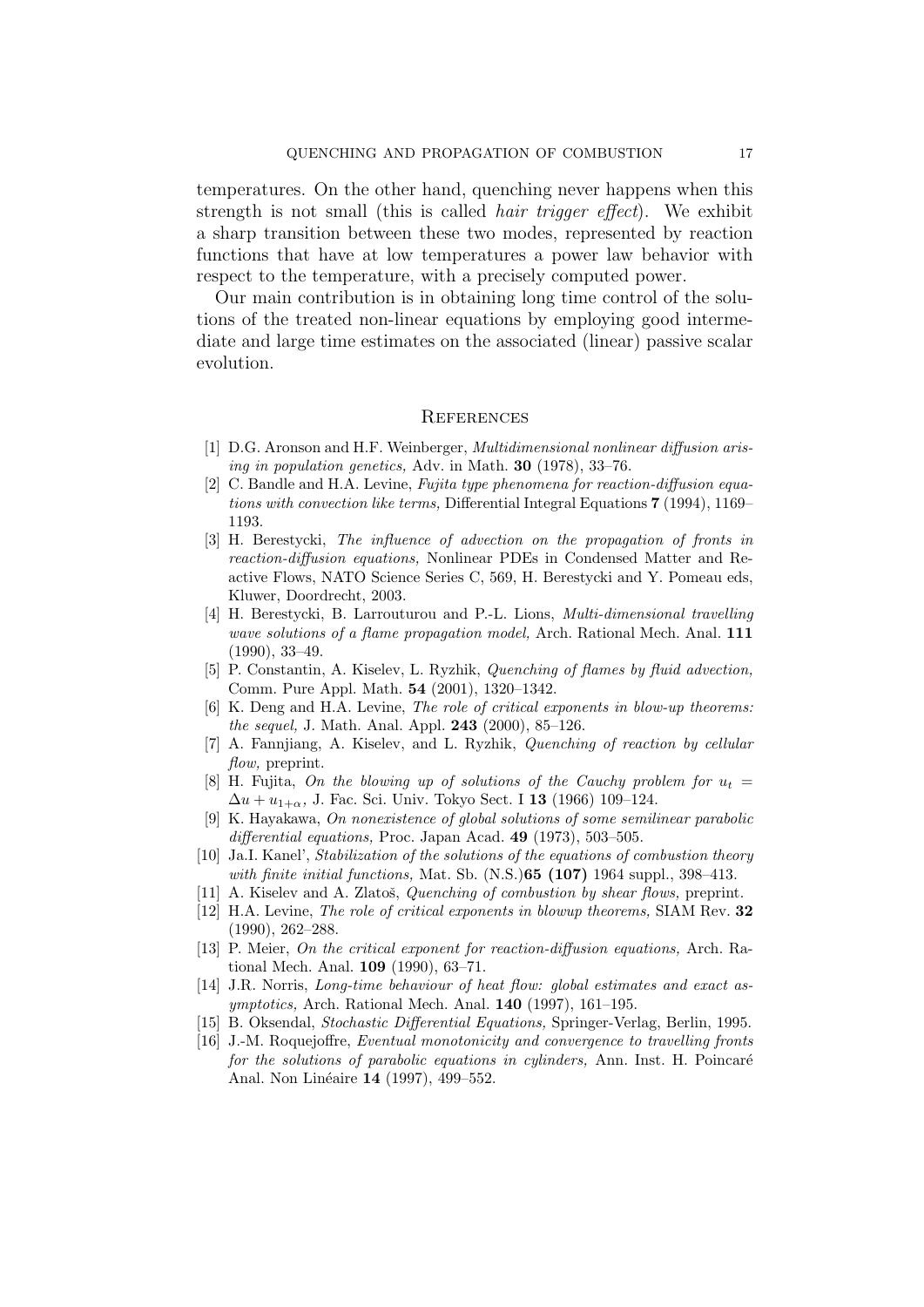temperatures. On the other hand, quenching never happens when this strength is not small (this is called *hair trigger effect*). We exhibit a sharp transition between these two modes, represented by reaction functions that have at low temperatures a power law behavior with respect to the temperature, with a precisely computed power.

Our main contribution is in obtaining long time control of the solutions of the treated non-linear equations by employing good intermediate and large time estimates on the associated (linear) passive scalar evolution.

#### **REFERENCES**

- [1] D.G. Aronson and H.F. Weinberger, Multidimensional nonlinear diffusion arising in population genetics, Adv. in Math. 30 (1978), 33–76.
- [2] C. Bandle and H.A. Levine, Fujita type phenomena for reaction-diffusion equations with convection like terms, Differential Integral Equations 7 (1994), 1169– 1193.
- [3] H. Berestycki, The influence of advection on the propagation of fronts in reaction-diffusion equations, Nonlinear PDEs in Condensed Matter and Reactive Flows, NATO Science Series C, 569, H. Berestycki and Y. Pomeau eds, Kluwer, Doordrecht, 2003.
- [4] H. Berestycki, B. Larrouturou and P.-L. Lions, Multi-dimensional travelling wave solutions of a flame propagation model, Arch. Rational Mech. Anal. 111 (1990), 33–49.
- [5] P. Constantin, A. Kiselev, L. Ryzhik, Quenching of flames by fluid advection, Comm. Pure Appl. Math. 54 (2001), 1320–1342.
- [6] K. Deng and H.A. Levine, The role of critical exponents in blow-up theorems: the sequel, J. Math. Anal. Appl. 243 (2000), 85–126.
- [7] A. Fannjiang, A. Kiselev, and L. Ryzhik, Quenching of reaction by cellular flow, preprint.
- [8] H. Fujita, On the blowing up of solutions of the Cauchy problem for  $u_t =$  $\Delta u + u_{1+\alpha}$ , J. Fac. Sci. Univ. Tokyo Sect. I 13 (1966) 109–124.
- [9] K. Hayakawa, On nonexistence of global solutions of some semilinear parabolic differential equations, Proc. Japan Acad. 49 (1973), 503-505.
- [10] Ja.I. Kanel', Stabilization of the solutions of the equations of combustion theory with finite initial functions, Mat. Sb.  $(N.S.)$ 65 (107) 1964 suppl., 398-413.
- [11] A. Kiselev and A. Zlatoš, *Quenching of combustion by shear flows*, preprint.
- [12] H.A. Levine, The role of critical exponents in blowup theorems, SIAM Rev. 32 (1990), 262–288.
- [13] P. Meier, On the critical exponent for reaction-diffusion equations, Arch. Rational Mech. Anal. 109 (1990), 63–71.
- [14] J.R. Norris, Long-time behaviour of heat flow: global estimates and exact asymptotics, Arch. Rational Mech. Anal. 140 (1997), 161–195.
- [15] B. Oksendal, Stochastic Differential Equations, Springer-Verlag, Berlin, 1995.
- [16] J.-M. Roquejoffre, *Eventual monotonicity and convergence to travelling fronts* for the solutions of parabolic equations in cylinders, Ann. Inst. H. Poincaré Anal. Non Linéaire 14 (1997), 499–552.